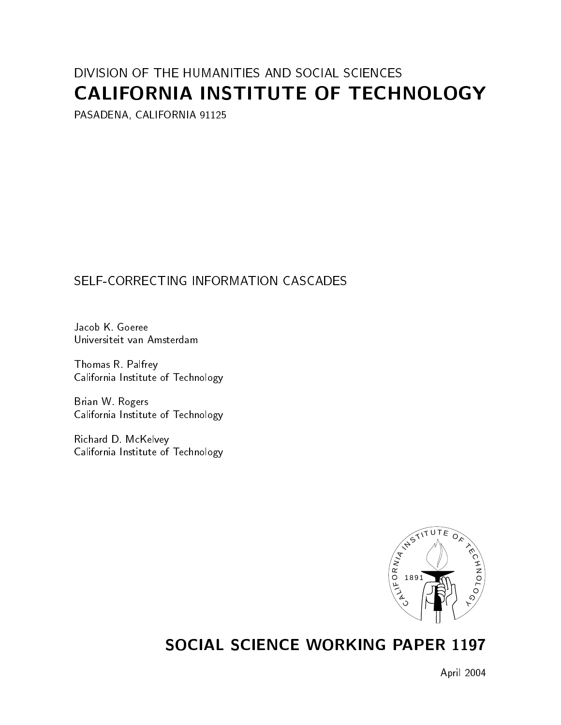# DIVISION OF THE HUMANITIES AND SOCIAL SCIENCES CALIFORNIA INSTITUTE OF TECHNOLOGY

PASADENA, CALIFORNIA 91125

# SELF-CORRECTING INFORMATION CASCADES

Jacob K. Goeree Universiteit van Amsterdam

Thomas R. Palfrey California Institute of Technology

Brian W. Rogers California Institute of Technology

Richard D. McKelvey California Institute of Technology



# SOCIAL SCIENCE WORKING PAPER 1197

April 2004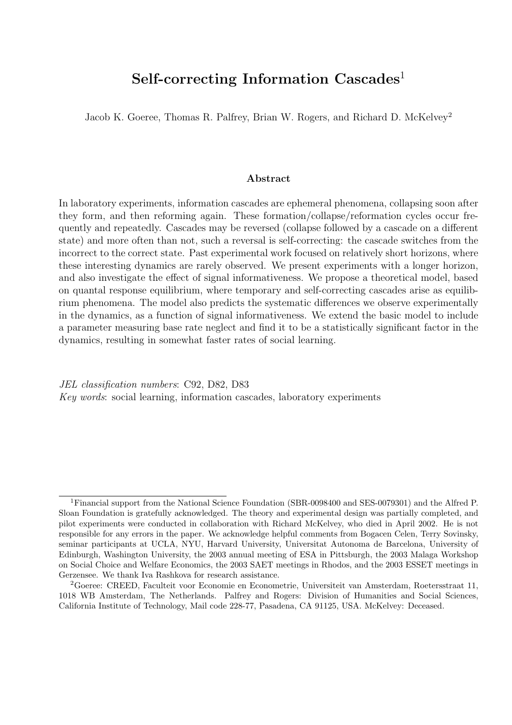# Self-correcting Information Cascades<sup>1</sup>

Jacob K. Goeree, Thomas R. Palfrey, Brian W. Rogers, and Richard D. McKelvey<sup>2</sup>

#### Abstract

In laboratory experiments, information cascades are ephemeral phenomena, collapsing soon after they form, and then reforming again. These formation/collapse/reformation cycles occur frequently and repeatedly. Cascades may be reversed (collapse followed by a cascade on a different state) and more often than not, such a reversal is self-correcting: the cascade switches from the incorrect to the correct state. Past experimental work focused on relatively short horizons, where these interesting dynamics are rarely observed. We present experiments with a longer horizon, and also investigate the effect of signal informativeness. We propose a theoretical model, based on quantal response equilibrium, where temporary and self-correcting cascades arise as equilibrium phenomena. The model also predicts the systematic differences we observe experimentally in the dynamics, as a function of signal informativeness. We extend the basic model to include a parameter measuring base rate neglect and find it to be a statistically significant factor in the dynamics, resulting in somewhat faster rates of social learning.

JEL classification numbers: C92, D82, D83 Key words: social learning, information cascades, laboratory experiments

<sup>&</sup>lt;sup>1</sup>Financial support from the National Science Foundation (SBR-0098400 and SES-0079301) and the Alfred P. Sloan Foundation is gratefully acknowledged. The theory and experimental design was partially completed, and pilot experiments were conducted in collaboration with Richard McKelvey, who died in April 2002. He is not responsible for any errors in the paper. We acknowledge helpful comments from Bogacen Celen, Terry Sovinsky, seminar participants at UCLA, NYU, Harvard University, Universitat Autonoma de Barcelona, University of Edinburgh, Washington University, the 2003 annual meeting of ESA in Pittsburgh, the 2003 Malaga Workshop on Social Choice and Welfare Economics, the 2003 SAET meetings in Rhodos, and the 2003 ESSET meetings in Gerzensee. We thank Iva Rashkova for research assistance.

<sup>2</sup>Goeree: CREED, Faculteit voor Economie en Econometrie, Universiteit van Amsterdam, Roetersstraat 11, 1018 WB Amsterdam, The Netherlands. Palfrey and Rogers: Division of Humanities and Social Sciences, California Institute of Technology, Mail code 228-77, Pasadena, CA 91125, USA. McKelvey: Deceased.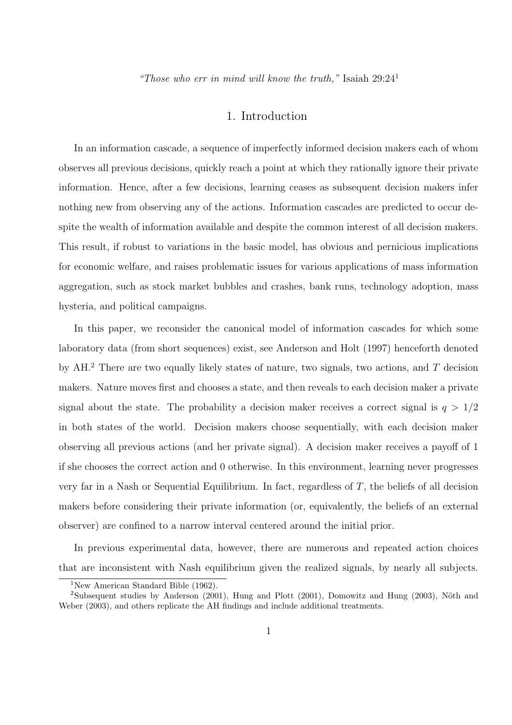"Those who err in mind will know the truth," Isaiah  $29:24<sup>1</sup>$ 

## 1. Introduction

In an information cascade, a sequence of imperfectly informed decision makers each of whom observes all previous decisions, quickly reach a point at which they rationally ignore their private information. Hence, after a few decisions, learning ceases as subsequent decision makers infer nothing new from observing any of the actions. Information cascades are predicted to occur despite the wealth of information available and despite the common interest of all decision makers. This result, if robust to variations in the basic model, has obvious and pernicious implications for economic welfare, and raises problematic issues for various applications of mass information aggregation, such as stock market bubbles and crashes, bank runs, technology adoption, mass hysteria, and political campaigns.

In this paper, we reconsider the canonical model of information cascades for which some laboratory data (from short sequences) exist, see Anderson and Holt (1997) henceforth denoted by  $AH^2$ . There are two equally likely states of nature, two signals, two actions, and T decision makers. Nature moves first and chooses a state, and then reveals to each decision maker a private signal about the state. The probability a decision maker receives a correct signal is  $q > 1/2$ in both states of the world. Decision makers choose sequentially, with each decision maker observing all previous actions (and her private signal). A decision maker receives a payoff of 1 if she chooses the correct action and 0 otherwise. In this environment, learning never progresses very far in a Nash or Sequential Equilibrium. In fact, regardless of  $T$ , the beliefs of all decision makers before considering their private information (or, equivalently, the beliefs of an external observer) are confined to a narrow interval centered around the initial prior.

In previous experimental data, however, there are numerous and repeated action choices that are inconsistent with Nash equilibrium given the realized signals, by nearly all subjects.

<sup>1</sup>New American Standard Bible (1962).

<sup>&</sup>lt;sup>2</sup>Subsequent studies by Anderson  $(2001)$ , Hung and Plott  $(2001)$ , Domowitz and Hung  $(2003)$ , Nöth and Weber (2003), and others replicate the AH findings and include additional treatments.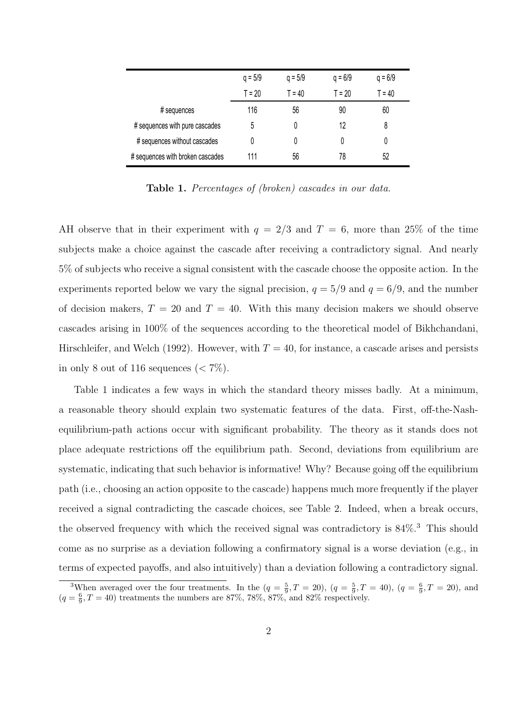|                                  | $q = 5/9$ | $q = 5/9$ | $q = 6/9$ | $q = 6/9$ |
|----------------------------------|-----------|-----------|-----------|-----------|
|                                  | $T = 20$  | $T = 40$  | $T = 20$  | $T = 40$  |
| # sequences                      | 116       | 56        | 90        | 60        |
| # sequences with pure cascades   | 5         | 0         | 12        | 8         |
| # sequences without cascades     | 0         |           | 0         | 0         |
| # sequences with broken cascades | 111       | 56        | 78        | 52        |

Table 1. Percentages of (broken) cascades in our data.

AH observe that in their experiment with  $q = 2/3$  and  $T = 6$ , more than 25% of the time subjects make a choice against the cascade after receiving a contradictory signal. And nearly 5% of subjects who receive a signal consistent with the cascade choose the opposite action. In the experiments reported below we vary the signal precision,  $q = 5/9$  and  $q = 6/9$ , and the number of decision makers,  $T = 20$  and  $T = 40$ . With this many decision makers we should observe cascades arising in 100% of the sequences according to the theoretical model of Bikhchandani, Hirschleifer, and Welch (1992). However, with  $T = 40$ , for instance, a cascade arises and persists in only 8 out of 116 sequences  $(< 7\%)$ .

Table 1 indicates a few ways in which the standard theory misses badly. At a minimum, a reasonable theory should explain two systematic features of the data. First, off-the-Nashequilibrium-path actions occur with significant probability. The theory as it stands does not place adequate restrictions off the equilibrium path. Second, deviations from equilibrium are systematic, indicating that such behavior is informative! Why? Because going off the equilibrium path (i.e., choosing an action opposite to the cascade) happens much more frequently if the player received a signal contradicting the cascade choices, see Table 2. Indeed, when a break occurs, the observed frequency with which the received signal was contradictory is  $84\%$ .<sup>3</sup> This should come as no surprise as a deviation following a confirmatory signal is a worse deviation (e.g., in terms of expected payoffs, and also intuitively) than a deviation following a contradictory signal.

<sup>&</sup>lt;sup>3</sup>When averaged over the four treatments. In the  $(q = \frac{5}{9}, T = 20)$ ,  $(q = \frac{5}{9}, T = 40)$ ,  $(q = \frac{6}{9}, T = 20)$ , and  $(q = \frac{6}{9}, T = 40)$  treatments the numbers are 87%, 78%, 87%, and 82% respectively.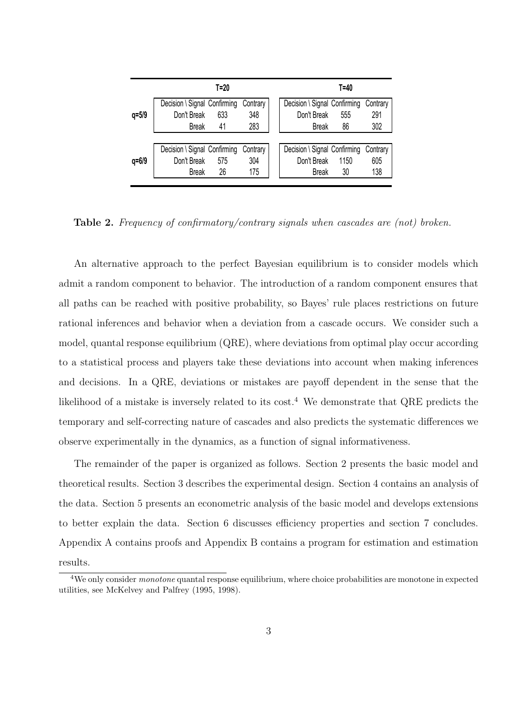|           |                              | T=20 |          |                              | T=40 |          |
|-----------|------------------------------|------|----------|------------------------------|------|----------|
|           | Decision \ Signal Confirming |      | Contrary | Decision \ Signal Confirming |      | Contrary |
| $q = 5/9$ | Don't Break                  | 633  | 348      | Don't Break                  | 555  | 291      |
|           | <b>Break</b>                 | 41   | 283      | <b>Break</b>                 | 86   | 302      |
|           |                              |      |          |                              |      |          |
|           | Decision \ Signal Confirming |      | Contrary | Decision \ Signal Confirming |      | Contrary |
| $q = 6/9$ | Don't Break                  | 575  | 304      | Don't Break                  | 1150 | 605      |
|           | <b>Break</b>                 | 26   | 175      | <b>Break</b>                 | 30   | 138      |
|           |                              |      |          |                              |      |          |

Table 2. Frequency of confirmatory/contrary signals when cascades are (not) broken.

An alternative approach to the perfect Bayesian equilibrium is to consider models which admit a random component to behavior. The introduction of a random component ensures that all paths can be reached with positive probability, so Bayes' rule places restrictions on future rational inferences and behavior when a deviation from a cascade occurs. We consider such a model, quantal response equilibrium (QRE), where deviations from optimal play occur according to a statistical process and players take these deviations into account when making inferences and decisions. In a QRE, deviations or mistakes are payoff dependent in the sense that the likelihood of a mistake is inversely related to its cost.<sup>4</sup> We demonstrate that QRE predicts the temporary and self-correcting nature of cascades and also predicts the systematic differences we observe experimentally in the dynamics, as a function of signal informativeness.

The remainder of the paper is organized as follows. Section 2 presents the basic model and theoretical results. Section 3 describes the experimental design. Section 4 contains an analysis of the data. Section 5 presents an econometric analysis of the basic model and develops extensions to better explain the data. Section 6 discusses efficiency properties and section 7 concludes. Appendix A contains proofs and Appendix B contains a program for estimation and estimation results.

<sup>&</sup>lt;sup>4</sup>We only consider *monotone* quantal response equilibrium, where choice probabilities are monotone in expected utilities, see McKelvey and Palfrey (1995, 1998).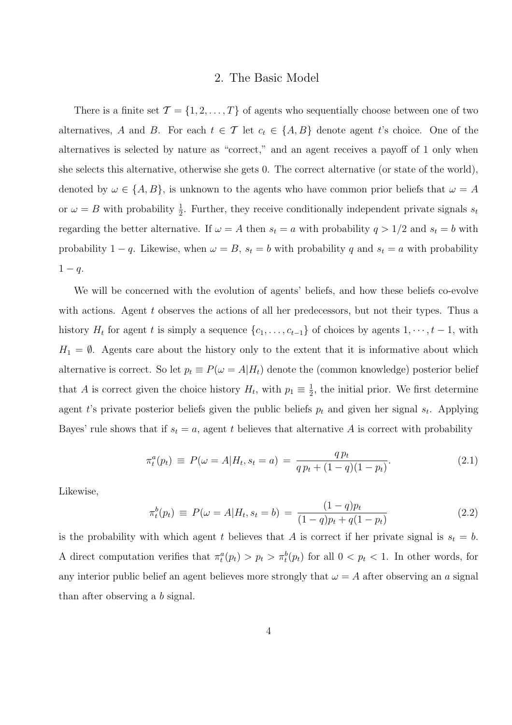## 2. The Basic Model

There is a finite set  $\mathcal{T} = \{1, 2, ..., T\}$  of agents who sequentially choose between one of two alternatives, A and B. For each  $t \in \mathcal{T}$  let  $c_t \in \{A, B\}$  denote agent t's choice. One of the alternatives is selected by nature as "correct," and an agent receives a payoff of 1 only when she selects this alternative, otherwise she gets 0. The correct alternative (or state of the world), denoted by  $\omega \in \{A, B\}$ , is unknown to the agents who have common prior beliefs that  $\omega = A$ or  $\omega = B$  with probability  $\frac{1}{2}$ . Further, they receive conditionally independent private signals  $s_t$ regarding the better alternative. If  $\omega = A$  then  $s_t = a$  with probability  $q > 1/2$  and  $s_t = b$  with probability 1 – q. Likewise, when  $\omega = B$ ,  $s_t = b$  with probability q and  $s_t = a$  with probability  $1 - q$ .

We will be concerned with the evolution of agents' beliefs, and how these beliefs co-evolve with actions. Agent  $t$  observes the actions of all her predecessors, but not their types. Thus a history  $H_t$  for agent t is simply a sequence  $\{c_1, \ldots, c_{t-1}\}$  of choices by agents  $1, \cdots, t-1$ , with  $H_1 = \emptyset$ . Agents care about the history only to the extent that it is informative about which alternative is correct. So let  $p_t \equiv P(\omega = A|H_t)$  denote the (common knowledge) posterior belief that A is correct given the choice history  $H_t$ , with  $p_1 \equiv \frac{1}{2}$  $\frac{1}{2}$ , the initial prior. We first determine agent t's private posterior beliefs given the public beliefs  $p_t$  and given her signal  $s_t$ . Applying Bayes' rule shows that if  $s_t = a$ , agent t believes that alternative A is correct with probability

$$
\pi_t^a(p_t) \equiv P(\omega = A | H_t, s_t = a) = \frac{q p_t}{q p_t + (1 - q)(1 - p_t)}.
$$
\n(2.1)

Likewise,

$$
\pi_t^b(p_t) \equiv P(\omega = A | H_t, s_t = b) = \frac{(1-q)p_t}{(1-q)p_t + q(1-p_t)}
$$
\n(2.2)

is the probability with which agent t believes that A is correct if her private signal is  $s_t = b$ . A direct computation verifies that  $\pi_t^a(p_t) > p_t > \pi_t^b(p_t)$  for all  $0 < p_t < 1$ . In other words, for any interior public belief an agent believes more strongly that  $\omega = A$  after observing an a signal than after observing a b signal.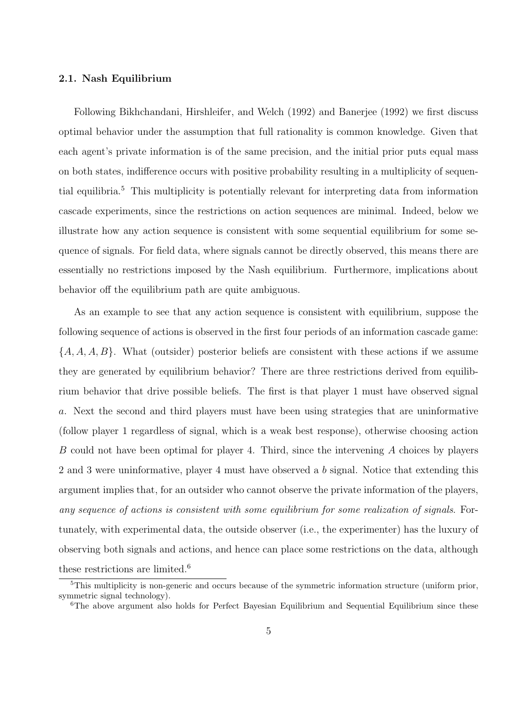#### 2.1. Nash Equilibrium

Following Bikhchandani, Hirshleifer, and Welch (1992) and Banerjee (1992) we first discuss optimal behavior under the assumption that full rationality is common knowledge. Given that each agent's private information is of the same precision, and the initial prior puts equal mass on both states, indifference occurs with positive probability resulting in a multiplicity of sequential equilibria.<sup>5</sup> This multiplicity is potentially relevant for interpreting data from information cascade experiments, since the restrictions on action sequences are minimal. Indeed, below we illustrate how any action sequence is consistent with some sequential equilibrium for some sequence of signals. For field data, where signals cannot be directly observed, this means there are essentially no restrictions imposed by the Nash equilibrium. Furthermore, implications about behavior off the equilibrium path are quite ambiguous.

As an example to see that any action sequence is consistent with equilibrium, suppose the following sequence of actions is observed in the first four periods of an information cascade game:  $\{A, A, A, B\}$ . What (outsider) posterior beliefs are consistent with these actions if we assume they are generated by equilibrium behavior? There are three restrictions derived from equilibrium behavior that drive possible beliefs. The first is that player 1 must have observed signal a. Next the second and third players must have been using strategies that are uninformative (follow player 1 regardless of signal, which is a weak best response), otherwise choosing action B could not have been optimal for player 4. Third, since the intervening A choices by players 2 and 3 were uninformative, player 4 must have observed a b signal. Notice that extending this argument implies that, for an outsider who cannot observe the private information of the players, any sequence of actions is consistent with some equilibrium for some realization of signals. Fortunately, with experimental data, the outside observer (i.e., the experimenter) has the luxury of observing both signals and actions, and hence can place some restrictions on the data, although these restrictions are limited.<sup>6</sup>

<sup>&</sup>lt;sup>5</sup>This multiplicity is non-generic and occurs because of the symmetric information structure (uniform prior, symmetric signal technology).

<sup>&</sup>lt;sup>6</sup>The above argument also holds for Perfect Bayesian Equilibrium and Sequential Equilibrium since these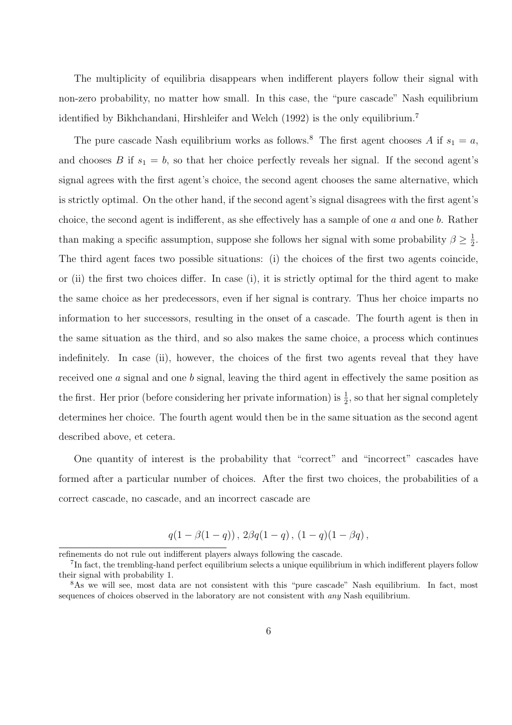The multiplicity of equilibria disappears when indifferent players follow their signal with non-zero probability, no matter how small. In this case, the "pure cascade" Nash equilibrium identified by Bikhchandani, Hirshleifer and Welch (1992) is the only equilibrium.<sup>7</sup>

The pure cascade Nash equilibrium works as follows.<sup>8</sup> The first agent chooses A if  $s_1 = a$ , and chooses B if  $s_1 = b$ , so that her choice perfectly reveals her signal. If the second agent's signal agrees with the first agent's choice, the second agent chooses the same alternative, which is strictly optimal. On the other hand, if the second agent's signal disagrees with the first agent's choice, the second agent is indifferent, as she effectively has a sample of one  $a$  and one  $b$ . Rather than making a specific assumption, suppose she follows her signal with some probability  $\beta \geq \frac{1}{2}$  $\frac{1}{2}$ . The third agent faces two possible situations: (i) the choices of the first two agents coincide, or (ii) the first two choices differ. In case (i), it is strictly optimal for the third agent to make the same choice as her predecessors, even if her signal is contrary. Thus her choice imparts no information to her successors, resulting in the onset of a cascade. The fourth agent is then in the same situation as the third, and so also makes the same choice, a process which continues indefinitely. In case (ii), however, the choices of the first two agents reveal that they have received one a signal and one b signal, leaving the third agent in effectively the same position as the first. Her prior (before considering her private information) is  $\frac{1}{2}$ , so that her signal completely determines her choice. The fourth agent would then be in the same situation as the second agent described above, et cetera.

One quantity of interest is the probability that "correct" and "incorrect" cascades have formed after a particular number of choices. After the first two choices, the probabilities of a correct cascade, no cascade, and an incorrect cascade are

$$
q(1 - \beta(1 - q)), 2\beta q(1 - q), (1 - q)(1 - \beta q),
$$

refinements do not rule out indifferent players always following the cascade.

<sup>&</sup>lt;sup>7</sup>In fact, the trembling-hand perfect equilibrium selects a unique equilibrium in which indifferent players follow their signal with probability 1.

<sup>8</sup>As we will see, most data are not consistent with this "pure cascade" Nash equilibrium. In fact, most sequences of choices observed in the laboratory are not consistent with *any* Nash equilibrium.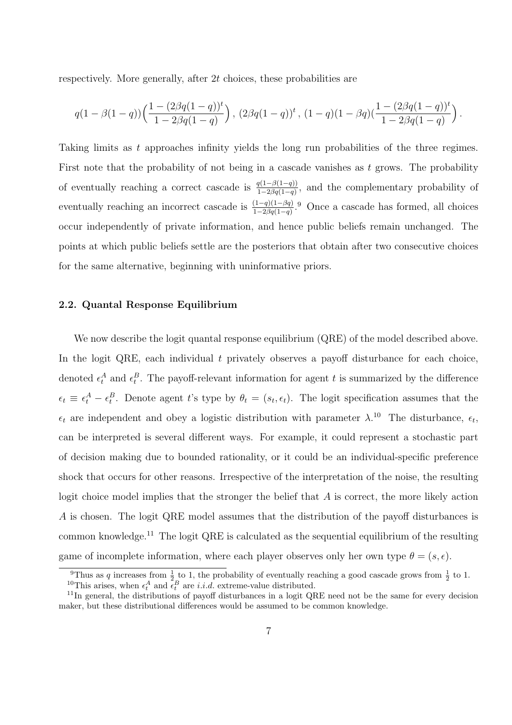respectively. More generally, after 2t choices, these probabilities are

$$
q(1-\beta(1-q))\Big(\frac{1-(2\beta q(1-q))^t}{1-2\beta q(1-q)}\Big)\,,\,(2\beta q(1-q))^t\,,\,(1-q)(1-\beta q)(\frac{1-(2\beta q(1-q))^t}{1-2\beta q(1-q)}\Big)\,.
$$

Taking limits as t approaches infinity yields the long run probabilities of the three regimes. First note that the probability of not being in a cascade vanishes as  $t$  grows. The probability of eventually reaching a correct cascade is  $\frac{q(1-\beta(1-q))}{1-2\beta q(1-q)}$ , and the complementary probability of eventually reaching an incorrect cascade is  $\frac{(1-q)(1-\beta q)}{1-2\beta q(1-q)}$ .<sup>9</sup> Once a cascade has formed, all choices occur independently of private information, and hence public beliefs remain unchanged. The points at which public beliefs settle are the posteriors that obtain after two consecutive choices for the same alternative, beginning with uninformative priors.

#### 2.2. Quantal Response Equilibrium

We now describe the logit quantal response equilibrium (QRE) of the model described above. In the logit QRE, each individual  $t$  privately observes a payoff disturbance for each choice, denoted  $\epsilon_t^A$  and  $\epsilon_t^B$ . The payoff-relevant information for agent t is summarized by the difference  $\epsilon_t \equiv \epsilon_t^A - \epsilon_t^B$ . Denote agent t's type by  $\theta_t = (s_t, \epsilon_t)$ . The logit specification assumes that the  $\epsilon_t$  are independent and obey a logistic distribution with parameter  $\lambda$ .<sup>10</sup> The disturbance,  $\epsilon_t$ , can be interpreted is several different ways. For example, it could represent a stochastic part of decision making due to bounded rationality, or it could be an individual-specific preference shock that occurs for other reasons. Irrespective of the interpretation of the noise, the resulting logit choice model implies that the stronger the belief that A is correct, the more likely action A is chosen. The logit QRE model assumes that the distribution of the payoff disturbances is common knowledge.<sup>11</sup> The logit QRE is calculated as the sequential equilibrium of the resulting game of incomplete information, where each player observes only her own type  $\theta = (s, \epsilon)$ .

<sup>&</sup>lt;sup>9</sup>Thus as q increases from  $\frac{1}{2}$  to 1, the probability of eventually reaching a good cascade grows from  $\frac{1}{2}$  to 1. <sup>10</sup>This arises, when  $\epsilon_t^A$  and  $\tilde{\epsilon}_t^B$  are *i.i.d.* extreme-value distributed.

<sup>&</sup>lt;sup>11</sup>In general, the distributions of payoff disturbances in a logit QRE need not be the same for every decision maker, but these distributional differences would be assumed to be common knowledge.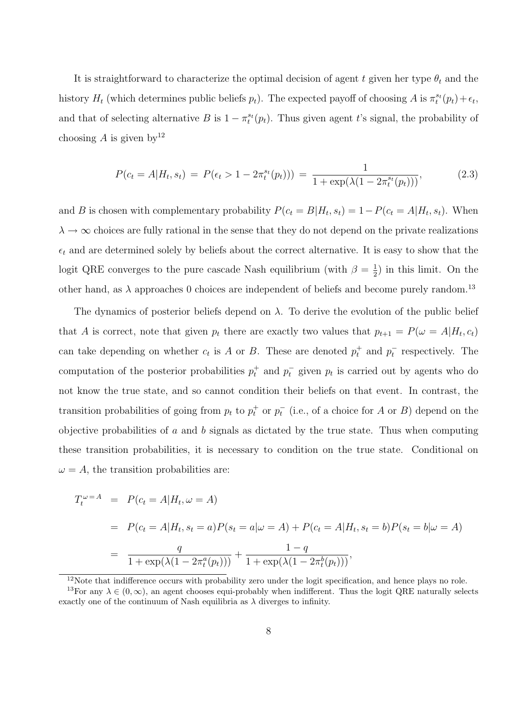It is straightforward to characterize the optimal decision of agent t given her type  $\theta_t$  and the history  $H_t$  (which determines public beliefs  $p_t$ ). The expected payoff of choosing A is  $\pi_t^{s_t}(p_t) + \epsilon_t$ , and that of selecting alternative B is  $1 - \pi_t^{s_t}(p_t)$ . Thus given agent t's signal, the probability of choosing A is given by  $12$ 

$$
P(c_t = A|H_t, s_t) = P(\epsilon_t > 1 - 2\pi_t^{s_t}(p_t))) = \frac{1}{1 + \exp(\lambda(1 - 2\pi_t^{s_t}(p_t)))},
$$
(2.3)

and B is chosen with complementary probability  $P(c_t = B|H_t, s_t) = 1 - P(c_t = A|H_t, s_t)$ . When  $\lambda \to \infty$  choices are fully rational in the sense that they do not depend on the private realizations  $\epsilon_t$  and are determined solely by beliefs about the correct alternative. It is easy to show that the logit QRE converges to the pure cascade Nash equilibrium (with  $\beta = \frac{1}{2}$  $(\frac{1}{2})$  in this limit. On the other hand, as  $\lambda$  approaches 0 choices are independent of beliefs and become purely random.<sup>13</sup>

The dynamics of posterior beliefs depend on  $\lambda$ . To derive the evolution of the public belief that A is correct, note that given  $p_t$  there are exactly two values that  $p_{t+1} = P(\omega = A | H_t, c_t)$ can take depending on whether  $c_t$  is A or B. These are denoted  $p_t^+$  and  $p_t^-$  respectively. The computation of the posterior probabilities  $p_t^+$  and  $p_t^-$  given  $p_t$  is carried out by agents who do not know the true state, and so cannot condition their beliefs on that event. In contrast, the transition probabilities of going from  $p_t$  to  $p_t^+$  or  $p_t^-$  (i.e., of a choice for A or B) depend on the objective probabilities of  $a$  and  $b$  signals as dictated by the true state. Thus when computing these transition probabilities, it is necessary to condition on the true state. Conditional on  $\omega = A$ , the transition probabilities are:

$$
T_t^{\omega = A} = P(c_t = A|H_t, \omega = A)
$$
  
=  $P(c_t = A|H_t, s_t = a)P(s_t = a|\omega = A) + P(c_t = A|H_t, s_t = b)P(s_t = b|\omega = A)$   
=  $\frac{q}{1 + \exp(\lambda(1 - 2\pi_t^a(p_t)))} + \frac{1 - q}{1 + \exp(\lambda(1 - 2\pi_t^b(p_t)))},$ 

 $12$ Note that indifference occurs with probability zero under the logit specification, and hence plays no role.

<sup>&</sup>lt;sup>13</sup>For any  $\lambda \in (0, \infty)$ , an agent chooses equi-probably when indifferent. Thus the logit QRE naturally selects exactly one of the continuum of Nash equilibria as  $\lambda$  diverges to infinity.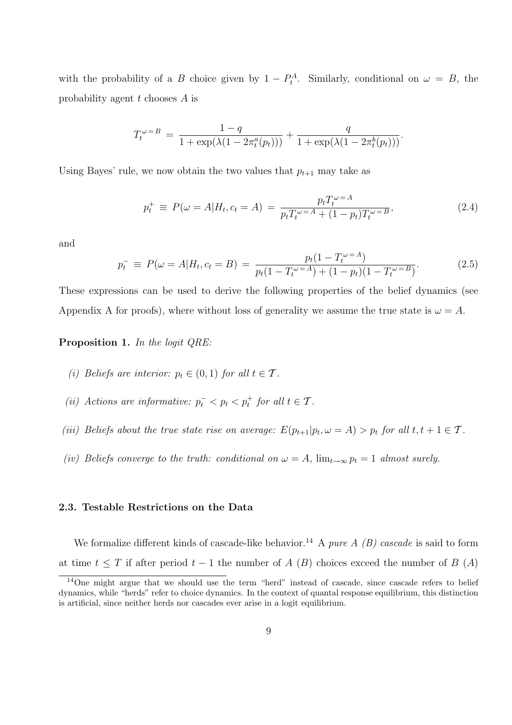with the probability of a B choice given by  $1 - P_t^A$ . Similarly, conditional on  $\omega = B$ , the probability agent t chooses A is

$$
T_t^{\omega=B} = \frac{1-q}{1+\exp(\lambda(1-2\pi_t^a(p_t)))} + \frac{q}{1+\exp(\lambda(1-2\pi_t^b(p_t)))}.
$$

Using Bayes' rule, we now obtain the two values that  $p_{t+1}$  may take as

$$
p_t^+ \equiv P(\omega = A | H_t, c_t = A) = \frac{p_t T_t^{\omega = A}}{p_t T_t^{\omega = A} + (1 - p_t) T_t^{\omega = B}},
$$
\n(2.4)

and

$$
p_t^- \equiv P(\omega = A | H_t, c_t = B) = \frac{p_t (1 - T_t^{\omega = A})}{p_t (1 - T_t^{\omega = A}) + (1 - p_t)(1 - T_t^{\omega = B})}.
$$
(2.5)

These expressions can be used to derive the following properties of the belief dynamics (see Appendix A for proofs), where without loss of generality we assume the true state is  $\omega = A$ .

#### Proposition 1. In the logit QRE:

- (i) Beliefs are interior:  $p_t \in (0,1)$  for all  $t \in \mathcal{T}$ .
- (ii) Actions are informative:  $p_t^- < p_t < p_t^+$  for all  $t \in \mathcal{T}$ .
- (iii) Beliefs about the true state rise on average:  $E(p_{t+1}|p_t, \omega = A) > p_t$  for all  $t, t + 1 \in \mathcal{T}$ .
- (iv) Beliefs converge to the truth: conditional on  $\omega = A$ ,  $\lim_{t\to\infty} p_t = 1$  almost surely.

#### 2.3. Testable Restrictions on the Data

We formalize different kinds of cascade-like behavior.<sup>14</sup> A pure A (B) cascade is said to form at time  $t \leq T$  if after period  $t - 1$  the number of A (B) choices exceed the number of B (A)

<sup>&</sup>lt;sup>14</sup>One might argue that we should use the term "herd" instead of cascade, since cascade refers to belief dynamics, while "herds" refer to choice dynamics. In the context of quantal response equilibrium, this distinction is artificial, since neither herds nor cascades ever arise in a logit equilibrium.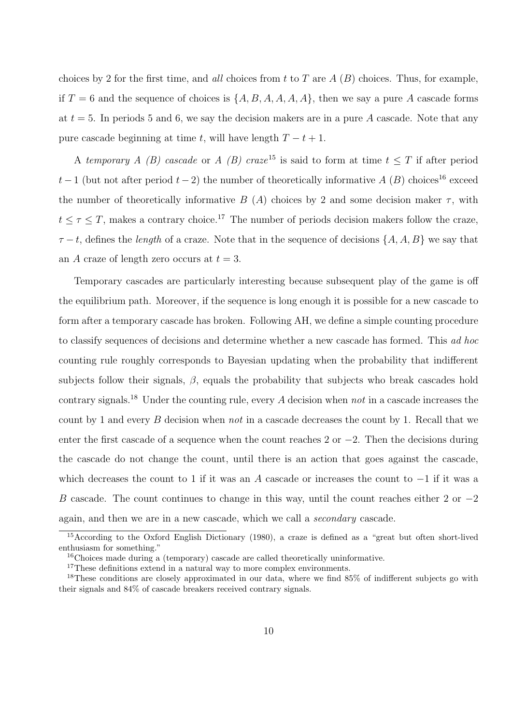choices by 2 for the first time, and all choices from t to T are  $A(B)$  choices. Thus, for example, if  $T = 6$  and the sequence of choices is  $\{A, B, A, A, A, A\}$ , then we say a pure A cascade forms at  $t = 5$ . In periods 5 and 6, we say the decision makers are in a pure A cascade. Note that any pure cascade beginning at time t, will have length  $T - t + 1$ .

A temporary A (B) cascade or A (B) craze<sup>15</sup> is said to form at time  $t \leq T$  if after period  $t-1$  (but not after period  $t-2$ ) the number of theoretically informative A (B) choices<sup>16</sup> exceed the number of theoretically informative B (A) choices by 2 and some decision maker  $\tau$ , with  $t \leq \tau \leq T$ , makes a contrary choice.<sup>17</sup> The number of periods decision makers follow the craze,  $\tau - t$ , defines the *length* of a craze. Note that in the sequence of decisions  $\{A, A, B\}$  we say that an A craze of length zero occurs at  $t = 3$ .

Temporary cascades are particularly interesting because subsequent play of the game is off the equilibrium path. Moreover, if the sequence is long enough it is possible for a new cascade to form after a temporary cascade has broken. Following AH, we define a simple counting procedure to classify sequences of decisions and determine whether a new cascade has formed. This ad hoc counting rule roughly corresponds to Bayesian updating when the probability that indifferent subjects follow their signals,  $\beta$ , equals the probability that subjects who break cascades hold contrary signals.<sup>18</sup> Under the counting rule, every A decision when *not* in a cascade increases the count by 1 and every  $B$  decision when not in a cascade decreases the count by 1. Recall that we enter the first cascade of a sequence when the count reaches 2 or  $-2$ . Then the decisions during the cascade do not change the count, until there is an action that goes against the cascade, which decreases the count to 1 if it was an A cascade or increases the count to  $-1$  if it was a B cascade. The count continues to change in this way, until the count reaches either 2 or  $-2$ again, and then we are in a new cascade, which we call a secondary cascade.

<sup>&</sup>lt;sup>15</sup>According to the Oxford English Dictionary (1980), a craze is defined as a "great but often short-lived enthusiasm for something."

<sup>16</sup>Choices made during a (temporary) cascade are called theoretically uninformative.

<sup>&</sup>lt;sup>17</sup>These definitions extend in a natural way to more complex environments.

<sup>18</sup>These conditions are closely approximated in our data, where we find 85% of indifferent subjects go with their signals and 84% of cascade breakers received contrary signals.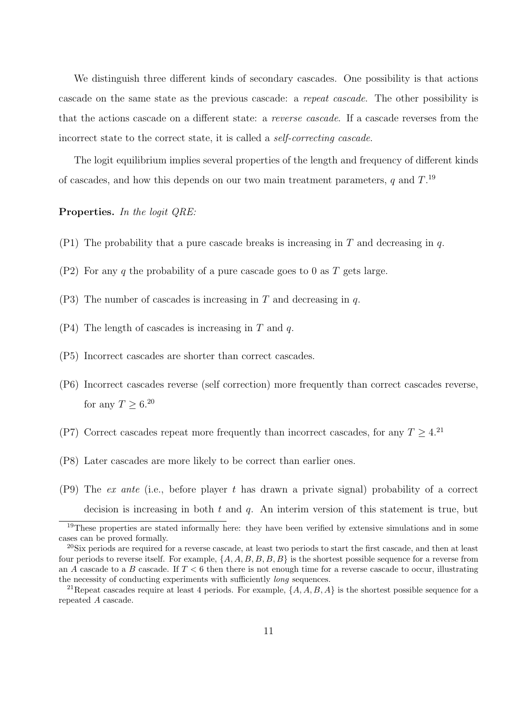We distinguish three different kinds of secondary cascades. One possibility is that actions cascade on the same state as the previous cascade: a repeat cascade. The other possibility is that the actions cascade on a different state: a reverse cascade. If a cascade reverses from the incorrect state to the correct state, it is called a self-correcting cascade.

The logit equilibrium implies several properties of the length and frequency of different kinds of cascades, and how this depends on our two main treatment parameters,  $q$  and  $T$ .<sup>19</sup>

#### Properties. In the logit QRE:

- (P1) The probability that a pure cascade breaks is increasing in T and decreasing in q.
- $(P2)$  For any q the probability of a pure cascade goes to 0 as T gets large.
- $(P3)$  The number of cascades is increasing in T and decreasing in q.
- $(P4)$  The length of cascades is increasing in T and q.
- (P5) Incorrect cascades are shorter than correct cascades.
- (P6) Incorrect cascades reverse (self correction) more frequently than correct cascades reverse, for any  $T \geq 6^{20}$
- (P7) Correct cascades repeat more frequently than incorrect cascades, for any  $T > 4$ .<sup>21</sup>
- (P8) Later cascades are more likely to be correct than earlier ones.
- $(P9)$  The *ex ante* (i.e., before player t has drawn a private signal) probability of a correct decision is increasing in both  $t$  and  $q$ . An interim version of this statement is true, but

<sup>&</sup>lt;sup>19</sup>These properties are stated informally here: they have been verified by extensive simulations and in some cases can be proved formally.

 $^{20}$ Six periods are required for a reverse cascade, at least two periods to start the first cascade, and then at least four periods to reverse itself. For example,  $\{A, A, B, B, B, B\}$  is the shortest possible sequence for a reverse from an A cascade to a B cascade. If  $T < 6$  then there is not enough time for a reverse cascade to occur, illustrating the necessity of conducting experiments with sufficiently long sequences.

<sup>&</sup>lt;sup>21</sup>Repeat cascades require at least 4 periods. For example,  $\{A, A, B, A\}$  is the shortest possible sequence for a repeated A cascade.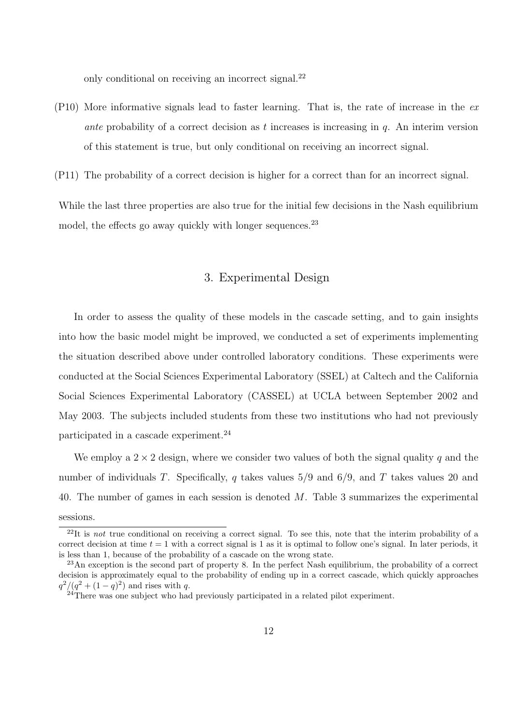only conditional on receiving an incorrect signal.<sup>22</sup>

 $(P10)$  More informative signals lead to faster learning. That is, the rate of increase in the ex ante probability of a correct decision as t increases is increasing in  $q$ . An interim version of this statement is true, but only conditional on receiving an incorrect signal.

(P11) The probability of a correct decision is higher for a correct than for an incorrect signal.

While the last three properties are also true for the initial few decisions in the Nash equilibrium model, the effects go away quickly with longer sequences.<sup>23</sup>

# 3. Experimental Design

In order to assess the quality of these models in the cascade setting, and to gain insights into how the basic model might be improved, we conducted a set of experiments implementing the situation described above under controlled laboratory conditions. These experiments were conducted at the Social Sciences Experimental Laboratory (SSEL) at Caltech and the California Social Sciences Experimental Laboratory (CASSEL) at UCLA between September 2002 and May 2003. The subjects included students from these two institutions who had not previously participated in a cascade experiment.<sup>24</sup>

We employ a  $2 \times 2$  design, where we consider two values of both the signal quality q and the number of individuals T. Specifically, q takes values  $5/9$  and  $6/9$ , and T takes values 20 and 40. The number of games in each session is denoted M. Table 3 summarizes the experimental sessions.

 $^{22}$ It is not true conditional on receiving a correct signal. To see this, note that the interim probability of a correct decision at time  $t = 1$  with a correct signal is 1 as it is optimal to follow one's signal. In later periods, it is less than 1, because of the probability of a cascade on the wrong state.

<sup>23</sup>An exception is the second part of property 8. In the perfect Nash equilibrium, the probability of a correct decision is approximately equal to the probability of ending up in a correct cascade, which quickly approaches  $q^2/(q^2 + (1-q)^2)$  and rises with q.

<sup>&</sup>lt;sup>24</sup>There was one subject who had previously participated in a related pilot experiment.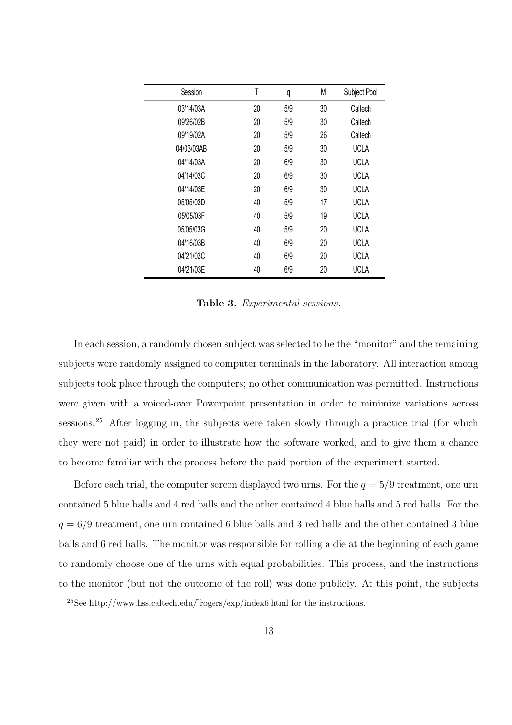| Session    | T  | q   | M  | Subject Pool |
|------------|----|-----|----|--------------|
| 03/14/03A  | 20 | 5/9 | 30 | Caltech      |
| 09/26/02B  | 20 | 5/9 | 30 | Caltech      |
| 09/19/02A  | 20 | 5/9 | 26 | Caltech      |
| 04/03/03AB | 20 | 5/9 | 30 | <b>UCLA</b>  |
| 04/14/03A  | 20 | 6/9 | 30 | <b>UCLA</b>  |
| 04/14/03C  | 20 | 6/9 | 30 | <b>UCLA</b>  |
| 04/14/03E  | 20 | 6/9 | 30 | <b>UCLA</b>  |
| 05/05/03D  | 40 | 5/9 | 17 | <b>UCLA</b>  |
| 05/05/03F  | 40 | 5/9 | 19 | <b>UCLA</b>  |
| 05/05/03G  | 40 | 5/9 | 20 | <b>UCLA</b>  |
| 04/16/03B  | 40 | 6/9 | 20 | <b>UCLA</b>  |
| 04/21/03C  | 40 | 6/9 | 20 | <b>UCLA</b>  |
| 04/21/03E  | 40 | 6/9 | 20 | <b>UCLA</b>  |

Table 3. Experimental sessions.

In each session, a randomly chosen subject was selected to be the "monitor" and the remaining subjects were randomly assigned to computer terminals in the laboratory. All interaction among subjects took place through the computers; no other communication was permitted. Instructions were given with a voiced-over Powerpoint presentation in order to minimize variations across sessions.<sup>25</sup> After logging in, the subjects were taken slowly through a practice trial (for which they were not paid) in order to illustrate how the software worked, and to give them a chance to become familiar with the process before the paid portion of the experiment started.

Before each trial, the computer screen displayed two urns. For the  $q = 5/9$  treatment, one urn contained 5 blue balls and 4 red balls and the other contained 4 blue balls and 5 red balls. For the  $q = 6/9$  treatment, one urn contained 6 blue balls and 3 red balls and the other contained 3 blue balls and 6 red balls. The monitor was responsible for rolling a die at the beginning of each game to randomly choose one of the urns with equal probabilities. This process, and the instructions to the monitor (but not the outcome of the roll) was done publicly. At this point, the subjects

 $^{25}$ See http://www.hss.caltech.edu/ $\widetilde{\ }$ rogers/exp/index6.html for the instructions.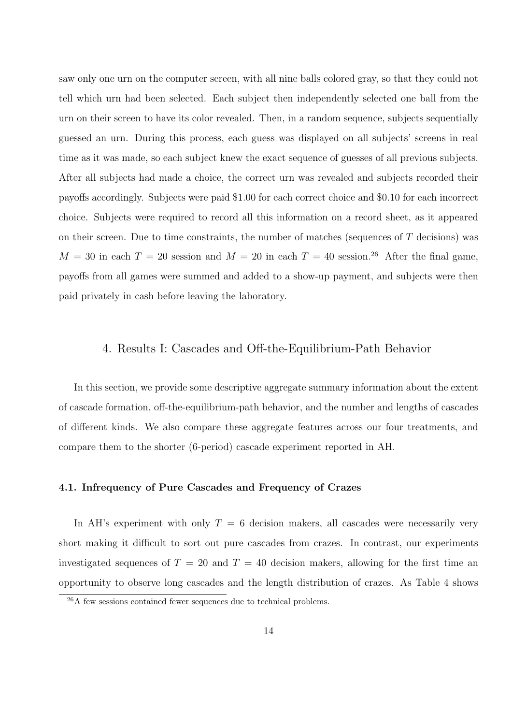saw only one urn on the computer screen, with all nine balls colored gray, so that they could not tell which urn had been selected. Each subject then independently selected one ball from the urn on their screen to have its color revealed. Then, in a random sequence, subjects sequentially guessed an urn. During this process, each guess was displayed on all subjects' screens in real time as it was made, so each subject knew the exact sequence of guesses of all previous subjects. After all subjects had made a choice, the correct urn was revealed and subjects recorded their payoffs accordingly. Subjects were paid \$1.00 for each correct choice and \$0.10 for each incorrect choice. Subjects were required to record all this information on a record sheet, as it appeared on their screen. Due to time constraints, the number of matches (sequences of  $T$  decisions) was  $M = 30$  in each  $T = 20$  session and  $M = 20$  in each  $T = 40$  session.<sup>26</sup> After the final game, payoffs from all games were summed and added to a show-up payment, and subjects were then paid privately in cash before leaving the laboratory.

# 4. Results I: Cascades and Off-the-Equilibrium-Path Behavior

In this section, we provide some descriptive aggregate summary information about the extent of cascade formation, off-the-equilibrium-path behavior, and the number and lengths of cascades of different kinds. We also compare these aggregate features across our four treatments, and compare them to the shorter (6-period) cascade experiment reported in AH.

#### 4.1. Infrequency of Pure Cascades and Frequency of Crazes

In AH's experiment with only  $T = 6$  decision makers, all cascades were necessarily very short making it difficult to sort out pure cascades from crazes. In contrast, our experiments investigated sequences of  $T = 20$  and  $T = 40$  decision makers, allowing for the first time an opportunity to observe long cascades and the length distribution of crazes. As Table 4 shows

<sup>&</sup>lt;sup>26</sup>A few sessions contained fewer sequences due to technical problems.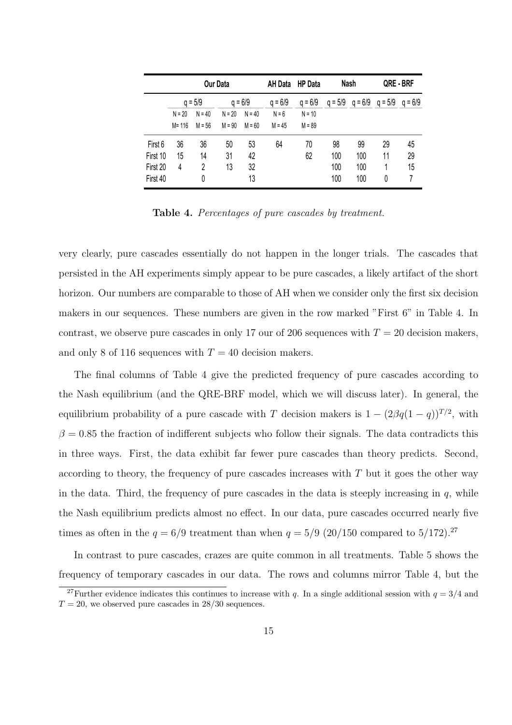|          |           | Our Data  |          |           | AH Data   | <b>HP</b> Data |           | Nash | QRE - BRF           |           |
|----------|-----------|-----------|----------|-----------|-----------|----------------|-----------|------|---------------------|-----------|
|          |           | $q = 5/9$ |          | $q = 6/9$ | $q = 6/9$ | $q = 6/9$      | $q = 5/9$ |      | $q = 6/9$ $q = 5/9$ | $q = 6/9$ |
|          | $N = 20$  | $N = 40$  | $N = 20$ | $N = 40$  | $N = 6$   | $N = 10$       |           |      |                     |           |
|          | $M = 116$ | $M = 56$  | $M = 90$ | $M = 60$  | $M = 45$  | $M = 89$       |           |      |                     |           |
| First 6  | 36        | 36        | 50       | 53        | 64        | 70             | 98        | 99   | 29                  | 45        |
| First 10 | 15        | 14        | 31       | 42        |           | 62             | 100       | 100  | 11                  | 29        |
| First 20 | 4         | 2         | 13       | 32        |           |                | 100       | 100  | 1                   | 15        |
| First 40 |           | 0         |          | 13        |           |                | 100       | 100  | 0                   | 7         |

Table 4. Percentages of pure cascades by treatment.

very clearly, pure cascades essentially do not happen in the longer trials. The cascades that persisted in the AH experiments simply appear to be pure cascades, a likely artifact of the short horizon. Our numbers are comparable to those of AH when we consider only the first six decision makers in our sequences. These numbers are given in the row marked "First 6" in Table 4. In contrast, we observe pure cascades in only 17 our of 206 sequences with  $T = 20$  decision makers, and only 8 of 116 sequences with  $T = 40$  decision makers.

The final columns of Table 4 give the predicted frequency of pure cascades according to the Nash equilibrium (and the QRE-BRF model, which we will discuss later). In general, the equilibrium probability of a pure cascade with T decision makers is  $1 - (2\beta q(1-q))^{T/2}$ , with  $\beta = 0.85$  the fraction of indifferent subjects who follow their signals. The data contradicts this in three ways. First, the data exhibit far fewer pure cascades than theory predicts. Second, according to theory, the frequency of pure cascades increases with  $T$  but it goes the other way in the data. Third, the frequency of pure cascades in the data is steeply increasing in  $q$ , while the Nash equilibrium predicts almost no effect. In our data, pure cascades occurred nearly five times as often in the  $q = 6/9$  treatment than when  $q = 5/9$  (20/150 compared to 5/172).<sup>27</sup>

In contrast to pure cascades, crazes are quite common in all treatments. Table 5 shows the frequency of temporary cascades in our data. The rows and columns mirror Table 4, but the

<sup>&</sup>lt;sup>27</sup>Further evidence indicates this continues to increase with q. In a single additional session with  $q = 3/4$  and  $T = 20$ , we observed pure cascades in 28/30 sequences.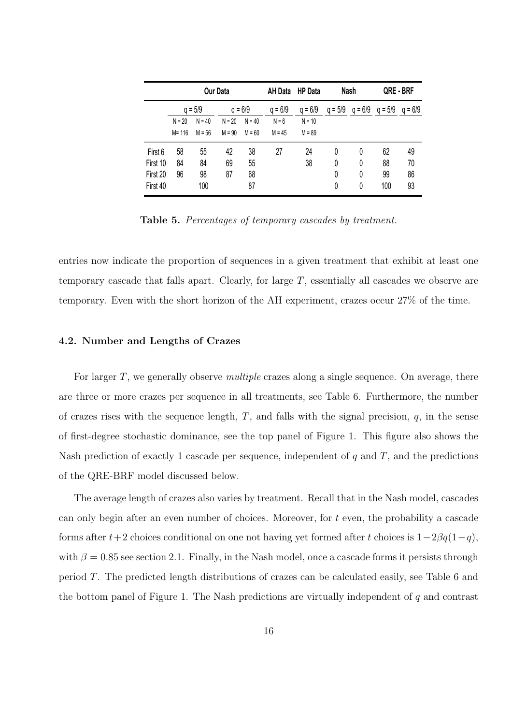|          | <b>Our Data</b> |           |          | AH Data   | <b>HP Data</b> |           | Nash      | QRE-BRF |                     |           |
|----------|-----------------|-----------|----------|-----------|----------------|-----------|-----------|---------|---------------------|-----------|
|          |                 | $q = 5/9$ |          | $q = 6/9$ | $q = 6/9$      | $q = 6/9$ | $q = 5/9$ |         | $q = 6/9$ $q = 5/9$ | $q = 6/9$ |
|          | $N = 20$        | $N = 40$  | $N = 20$ | $N = 40$  | $N = 6$        | $N = 10$  |           |         |                     |           |
|          | $M = 116$       | $M = 56$  | $M = 90$ | $M = 60$  | $M = 45$       | $M = 89$  |           |         |                     |           |
| First 6  | 58              | 55        | 42       | 38        | 27             | 24        | 0         | 0       | 62                  | 49        |
| First 10 | 84              | 84        | 69       | 55        |                | 38        | 0         | 0       | 88                  | 70        |
| First 20 | 96              | 98        | 87       | 68        |                |           | 0         | 0       | 99                  | 86        |
| First 40 |                 | 100       |          | 87        |                |           | 0         | 0       | 100                 | 93        |

Table 5. Percentages of temporary cascades by treatment.

entries now indicate the proportion of sequences in a given treatment that exhibit at least one temporary cascade that falls apart. Clearly, for large T, essentially all cascades we observe are temporary. Even with the short horizon of the AH experiment, crazes occur 27% of the time.

#### 4.2. Number and Lengths of Crazes

For larger  $T$ , we generally observe *multiple* crazes along a single sequence. On average, there are three or more crazes per sequence in all treatments, see Table 6. Furthermore, the number of crazes rises with the sequence length,  $T$ , and falls with the signal precision,  $q$ , in the sense of first-degree stochastic dominance, see the top panel of Figure 1. This figure also shows the Nash prediction of exactly 1 cascade per sequence, independent of  $q$  and  $T$ , and the predictions of the QRE-BRF model discussed below.

The average length of crazes also varies by treatment. Recall that in the Nash model, cascades can only begin after an even number of choices. Moreover, for t even, the probability a cascade forms after  $t+2$  choices conditional on one not having yet formed after t choices is  $1-2\beta q(1-q)$ , with  $\beta = 0.85$  see section 2.1. Finally, in the Nash model, once a cascade forms it persists through period T. The predicted length distributions of crazes can be calculated easily, see Table 6 and the bottom panel of Figure 1. The Nash predictions are virtually independent of  $q$  and contrast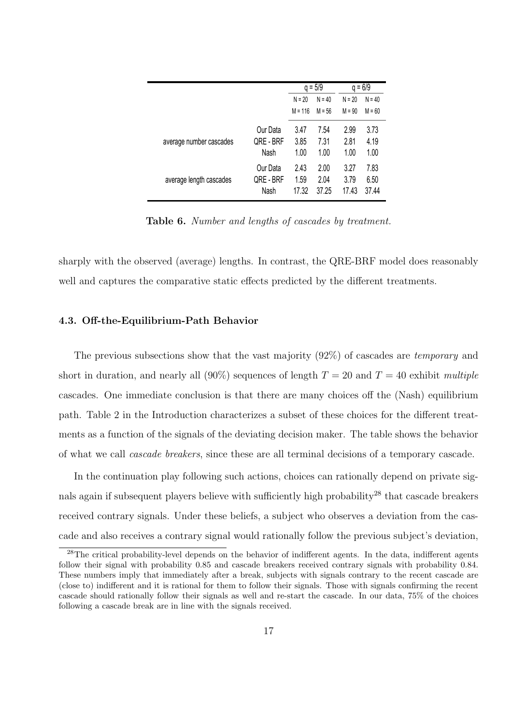|                         |           |           | $q = 5/9$ | $q = 6/9$ |          |  |
|-------------------------|-----------|-----------|-----------|-----------|----------|--|
|                         |           | $N = 20$  | $N = 40$  | $N = 20$  | $N = 40$ |  |
|                         |           | $M = 116$ | $M = 56$  | $M = 90$  | $M = 60$ |  |
|                         | Our Data  | 3.47      | 7.54      | 2.99      | 3.73     |  |
| average number cascades | QRE - BRF | 3.85      | 7.31      | 2.81      | 4.19     |  |
|                         | Nash      | 1.00      | 1.00      | 1.00      | 1.00     |  |
|                         | Our Data  | 2.43      | 2.00      | 3.27      | 7.83     |  |
| average length cascades | QRE - BRF | 1.59      | 2.04      | 3.79      | 6.50     |  |
|                         | Nash      | 17.32     | 37.25     | 17.43     | 37.44    |  |

Table 6. Number and lengths of cascades by treatment.

sharply with the observed (average) lengths. In contrast, the QRE-BRF model does reasonably well and captures the comparative static effects predicted by the different treatments.

#### 4.3. Off-the-Equilibrium-Path Behavior

The previous subsections show that the vast majority (92%) of cascades are temporary and short in duration, and nearly all  $(90\%)$  sequences of length  $T = 20$  and  $T = 40$  exhibit multiple cascades. One immediate conclusion is that there are many choices off the (Nash) equilibrium path. Table 2 in the Introduction characterizes a subset of these choices for the different treatments as a function of the signals of the deviating decision maker. The table shows the behavior of what we call cascade breakers, since these are all terminal decisions of a temporary cascade.

In the continuation play following such actions, choices can rationally depend on private signals again if subsequent players believe with sufficiently high probability<sup>28</sup> that cascade breakers received contrary signals. Under these beliefs, a subject who observes a deviation from the cascade and also receives a contrary signal would rationally follow the previous subject's deviation,

<sup>&</sup>lt;sup>28</sup>The critical probability-level depends on the behavior of indifferent agents. In the data, indifferent agents follow their signal with probability 0.85 and cascade breakers received contrary signals with probability 0.84. These numbers imply that immediately after a break, subjects with signals contrary to the recent cascade are (close to) indifferent and it is rational for them to follow their signals. Those with signals confirming the recent cascade should rationally follow their signals as well and re-start the cascade. In our data, 75% of the choices following a cascade break are in line with the signals received.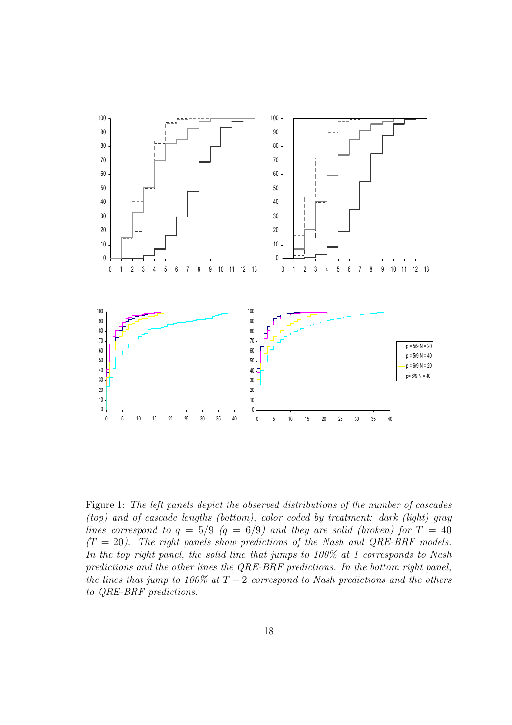

Figure 1: The left panels depict the observed distributions of the number of cascades (top) and of cascade lengths (bottom), color coded by treatment: dark (light) gray lines correspond to  $q = 5/9$  ( $q = 6/9$ ) and they are solid (broken) for  $T = 40$  $(T = 20)$ . The right panels show predictions of the Nash and QRE-BRF models. In the top right panel, the solid line that jumps to 100% at 1 corresponds to Nash predictions and the other lines the QRE-BRF predictions. In the bottom right panel, the lines that jump to 100% at  $T-2$  correspond to Nash predictions and the others to QRE-BRF predictions.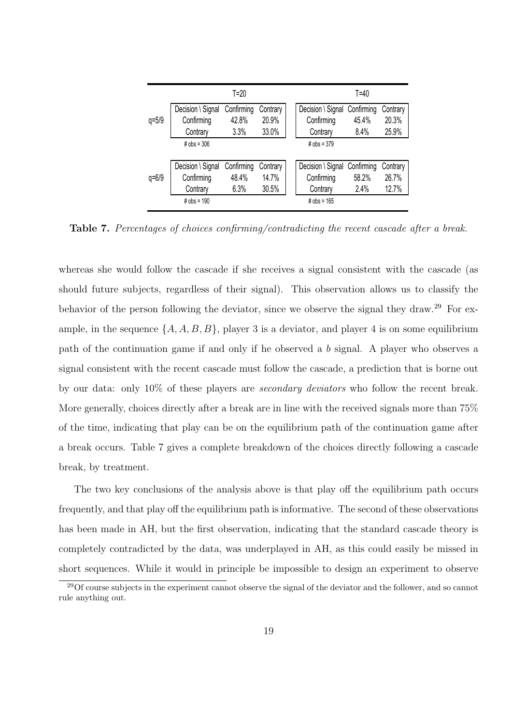|           |                   | $T=20$     |          |                              | T=40  |          |
|-----------|-------------------|------------|----------|------------------------------|-------|----------|
|           | Decision \ Signal | Confirming | Contrary | Decision \ Signal Confirming |       | Contrary |
| $q = 5/9$ | Confirming        | 42.8%      | 20.9%    | Confirming                   | 45.4% | 20.3%    |
|           | Contrary          | 3.3%       | 33.0%    | Contrary                     | 8.4%  | 25.9%    |
|           | # $obs = 306$     |            |          | # $obs = 379$                |       |          |
|           |                   |            |          |                              |       |          |
|           | Decision \ Signal | Confirming | Contrary | Decision \ Signal Confirming |       | Contrary |
| $q = 6/9$ | Confirming        | 48.4%      | 14.7%    | Confirming                   | 58.2% | 26.7%    |
|           | Contrary          | 6.3%       | 30.5%    | Contrary                     | 2.4%  | 12.7%    |
|           | # $obs = 190$     |            |          | # $obs = 165$                |       |          |

Table 7. Percentages of choices confirming/contradicting the recent cascade after a break.

whereas she would follow the cascade if she receives a signal consistent with the cascade (as should future subjects, regardless of their signal). This observation allows us to classify the behavior of the person following the deviator, since we observe the signal they draw.<sup>29</sup> For example, in the sequence  $\{A, A, B, B\}$ , player 3 is a deviator, and player 4 is on some equilibrium path of the continuation game if and only if he observed a b signal. A player who observes a signal consistent with the recent cascade must follow the cascade, a prediction that is borne out by our data: only 10% of these players are secondary deviators who follow the recent break. More generally, choices directly after a break are in line with the received signals more than 75% of the time, indicating that play can be on the equilibrium path of the continuation game after a break occurs. Table 7 gives a complete breakdown of the choices directly following a cascade break, by treatment.

The two key conclusions of the analysis above is that play off the equilibrium path occurs frequently, and that play off the equilibrium path is informative. The second of these observations has been made in AH, but the first observation, indicating that the standard cascade theory is completely contradicted by the data, was underplayed in AH, as this could easily be missed in short sequences. While it would in principle be impossible to design an experiment to observe

<sup>&</sup>lt;sup>29</sup>Of course subjects in the experiment cannot observe the signal of the deviator and the follower, and so cannot rule anything out.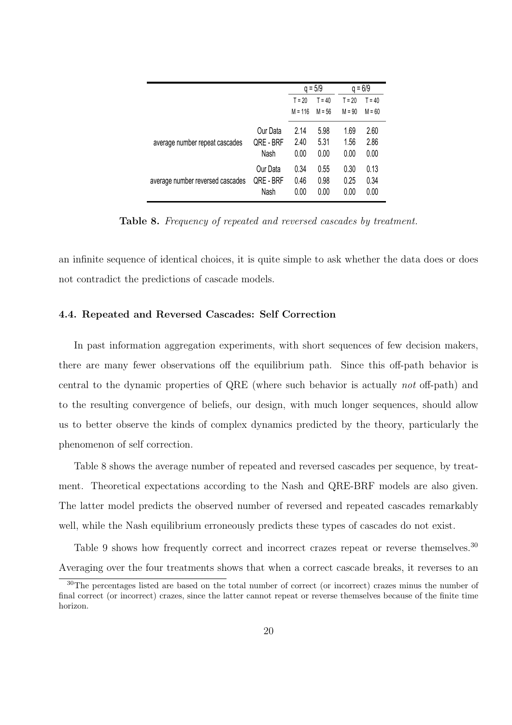|                                  |           |           | $q = 5/9$ |          | $q = 6/9$ |
|----------------------------------|-----------|-----------|-----------|----------|-----------|
|                                  |           | $T = 20$  | $T = 40$  | $T = 20$ | $T = 40$  |
|                                  |           | $M = 116$ | $M = 56$  | $M = 90$ | $M = 60$  |
|                                  | Our Data  | 2.14      | 5.98      | 1.69     | 2.60      |
| average number repeat cascades   | QRE - BRF | 2.40      | 5.31      | 1.56     | 2.86      |
|                                  | Nash      | 0.00      | 0.00      | 0.00     | 0.00      |
|                                  | Our Data  | 0.34      | 0.55      | 0.30     | 0.13      |
| average number reversed cascades | QRE-BRF   | 0.46      | 0.98      | 0.25     | 0.34      |
|                                  | Nash      | 0.00      | 0.00      | 0.00     | 0.00      |

Table 8. Frequency of repeated and reversed cascades by treatment.

an infinite sequence of identical choices, it is quite simple to ask whether the data does or does not contradict the predictions of cascade models.

#### 4.4. Repeated and Reversed Cascades: Self Correction

In past information aggregation experiments, with short sequences of few decision makers, there are many fewer observations off the equilibrium path. Since this off-path behavior is central to the dynamic properties of QRE (where such behavior is actually not off-path) and to the resulting convergence of beliefs, our design, with much longer sequences, should allow us to better observe the kinds of complex dynamics predicted by the theory, particularly the phenomenon of self correction.

Table 8 shows the average number of repeated and reversed cascades per sequence, by treatment. Theoretical expectations according to the Nash and QRE-BRF models are also given. The latter model predicts the observed number of reversed and repeated cascades remarkably well, while the Nash equilibrium erroneously predicts these types of cascades do not exist.

Table 9 shows how frequently correct and incorrect crazes repeat or reverse themselves.<sup>30</sup> Averaging over the four treatments shows that when a correct cascade breaks, it reverses to an

<sup>&</sup>lt;sup>30</sup>The percentages listed are based on the total number of correct (or incorrect) crazes minus the number of final correct (or incorrect) crazes, since the latter cannot repeat or reverse themselves because of the finite time horizon.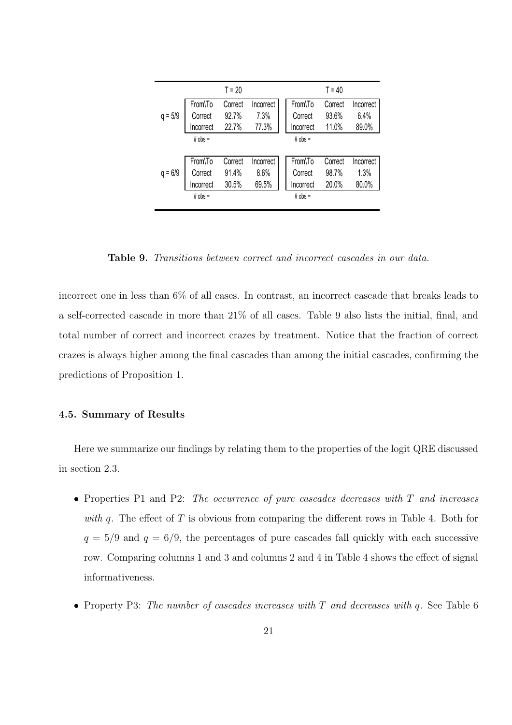|           |           | $T = 20$ |           |           | $T = 40$ |           |
|-----------|-----------|----------|-----------|-----------|----------|-----------|
|           | From\To   | Correct  | Incorrect | From\To   | Correct  | Incorrect |
| $q = 5/9$ | Correct   | 92.7%    | 7.3%      | Correct   | 93.6%    | 6.4%      |
|           | Incorrect | 22.7%    | 77.3%     | Incorrect | 11.0%    | 89.0%     |
|           | $# obs =$ |          |           | $# obs =$ |          |           |
|           |           |          |           |           |          |           |
|           | From\To   | Correct  | Incorrect | From\To   | Correct  | Incorrect |
| $q = 6/9$ | Correct   | 91.4%    | 8.6%      | Correct   | 98.7%    | 1.3%      |
|           | Incorrect | 30.5%    | 69.5%     | Incorrect | 20.0%    | 80.0%     |
|           | $# obs =$ |          |           | $# obs =$ |          |           |
|           |           |          |           |           |          |           |

Table 9. Transitions between correct and incorrect cascades in our data.

incorrect one in less than 6% of all cases. In contrast, an incorrect cascade that breaks leads to a self-corrected cascade in more than 21% of all cases. Table 9 also lists the initial, final, and total number of correct and incorrect crazes by treatment. Notice that the fraction of correct crazes is always higher among the final cascades than among the initial cascades, confirming the predictions of Proposition 1.

### 4.5. Summary of Results

Here we summarize our findings by relating them to the properties of the logit QRE discussed in section 2.3.

- Properties P1 and P2: The occurrence of pure cascades decreases with T and increases with q. The effect of  $T$  is obvious from comparing the different rows in Table 4. Both for  $q = 5/9$  and  $q = 6/9$ , the percentages of pure cascades fall quickly with each successive row. Comparing columns 1 and 3 and columns 2 and 4 in Table 4 shows the effect of signal informativeness.
- Property P3: The number of cascades increases with T and decreases with q. See Table 6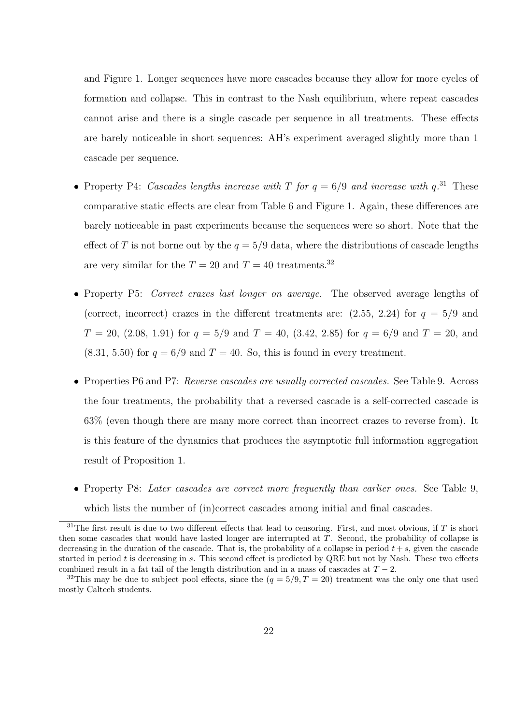and Figure 1. Longer sequences have more cascades because they allow for more cycles of formation and collapse. This in contrast to the Nash equilibrium, where repeat cascades cannot arise and there is a single cascade per sequence in all treatments. These effects are barely noticeable in short sequences: AH's experiment averaged slightly more than 1 cascade per sequence.

- Property P4: Cascades lengths increase with T for  $q = 6/9$  and increase with  $q^{31}$ . These comparative static effects are clear from Table 6 and Figure 1. Again, these differences are barely noticeable in past experiments because the sequences were so short. Note that the effect of T is not borne out by the  $q = 5/9$  data, where the distributions of cascade lengths are very similar for the  $T = 20$  and  $T = 40$  treatments.<sup>32</sup>
- Property P5: *Correct crazes last longer on average*. The observed average lengths of (correct, incorrect) crazes in the different treatments are:  $(2.55, 2.24)$  for  $q = 5/9$  and  $T = 20$ ,  $(2.08, 1.91)$  for  $q = 5/9$  and  $T = 40$ ,  $(3.42, 2.85)$  for  $q = 6/9$  and  $T = 20$ , and  $(8.31, 5.50)$  for  $q = 6/9$  and  $T = 40$ . So, this is found in every treatment.
- Properties P6 and P7: Reverse cascades are usually corrected cascades. See Table 9. Across the four treatments, the probability that a reversed cascade is a self-corrected cascade is 63% (even though there are many more correct than incorrect crazes to reverse from). It is this feature of the dynamics that produces the asymptotic full information aggregation result of Proposition 1.
- Property P8: Later cascades are correct more frequently than earlier ones. See Table 9, which lists the number of (in)correct cascades among initial and final cascades.

 $31$ The first result is due to two different effects that lead to censoring. First, and most obvious, if T is short then some cascades that would have lasted longer are interrupted at T. Second, the probability of collapse is decreasing in the duration of the cascade. That is, the probability of a collapse in period  $t + s$ , given the cascade started in period  $t$  is decreasing in  $s$ . This second effect is predicted by QRE but not by Nash. These two effects combined result in a fat tail of the length distribution and in a mass of cascades at  $T - 2$ .

<sup>&</sup>lt;sup>32</sup>This may be due to subject pool effects, since the  $(q = 5/9, T = 20)$  treatment was the only one that used mostly Caltech students.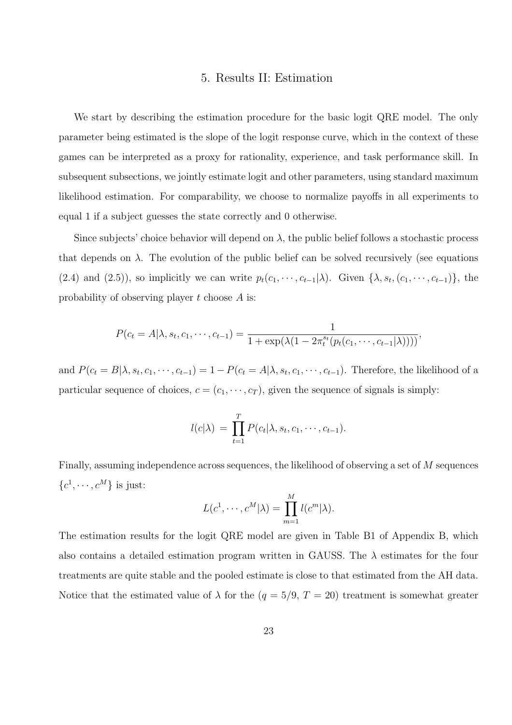#### 5. Results II: Estimation

We start by describing the estimation procedure for the basic logit QRE model. The only parameter being estimated is the slope of the logit response curve, which in the context of these games can be interpreted as a proxy for rationality, experience, and task performance skill. In subsequent subsections, we jointly estimate logit and other parameters, using standard maximum likelihood estimation. For comparability, we choose to normalize payoffs in all experiments to equal 1 if a subject guesses the state correctly and 0 otherwise.

Since subjects' choice behavior will depend on  $\lambda$ , the public belief follows a stochastic process that depends on  $\lambda$ . The evolution of the public belief can be solved recursively (see equations (2.4) and (2.5)), so implicitly we can write  $p_t(c_1, \dots, c_{t-1}|\lambda)$ . Given  $\{\lambda, s_t, (c_1, \dots, c_{t-1})\}$ , the probability of observing player t choose A is:

$$
P(c_t = A | \lambda, s_t, c_1, \cdots, c_{t-1}) = \frac{1}{1 + \exp(\lambda(1 - 2\pi_t^{st}(p_t(c_1, \cdots, c_{t-1}|\lambda))))},
$$

and  $P(c_t = B | \lambda, s_t, c_1, \dots, c_{t-1}) = 1 - P(c_t = A | \lambda, s_t, c_1, \dots, c_{t-1})$ . Therefore, the likelihood of a particular sequence of choices,  $c = (c_1, \dots, c_T)$ , given the sequence of signals is simply:

$$
l(c|\lambda) = \prod_{t=1}^T P(c_t|\lambda, s_t, c_1, \cdots, c_{t-1}).
$$

Finally, assuming independence across sequences, the likelihood of observing a set of M sequences  $\{c^1, \cdots, c^M\}$  is just:

$$
L(c^1, \cdots, c^M|\lambda) = \prod_{m=1}^M l(c^m|\lambda).
$$

The estimation results for the logit QRE model are given in Table B1 of Appendix B, which also contains a detailed estimation program written in GAUSS. The  $\lambda$  estimates for the four treatments are quite stable and the pooled estimate is close to that estimated from the AH data. Notice that the estimated value of  $\lambda$  for the  $(q = 5/9, T = 20)$  treatment is somewhat greater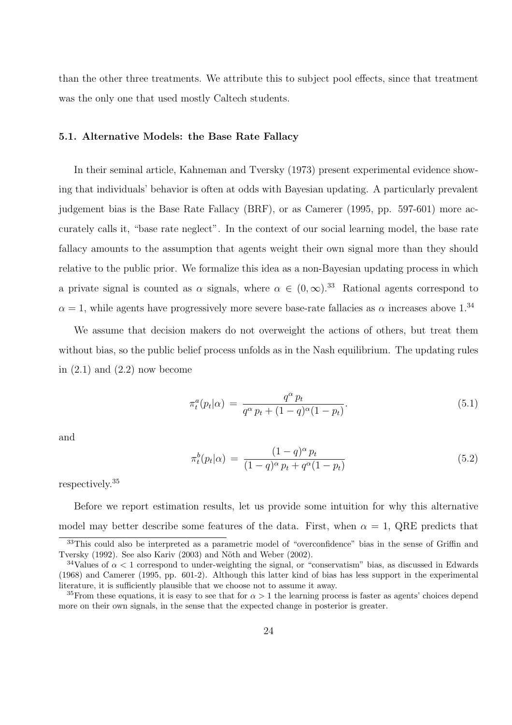than the other three treatments. We attribute this to subject pool effects, since that treatment was the only one that used mostly Caltech students.

#### 5.1. Alternative Models: the Base Rate Fallacy

In their seminal article, Kahneman and Tversky (1973) present experimental evidence showing that individuals' behavior is often at odds with Bayesian updating. A particularly prevalent judgement bias is the Base Rate Fallacy (BRF), or as Camerer (1995, pp. 597-601) more accurately calls it, "base rate neglect". In the context of our social learning model, the base rate fallacy amounts to the assumption that agents weight their own signal more than they should relative to the public prior. We formalize this idea as a non-Bayesian updating process in which a private signal is counted as  $\alpha$  signals, where  $\alpha \in (0,\infty)$ .<sup>33</sup> Rational agents correspond to  $\alpha = 1$ , while agents have progressively more severe base-rate fallacies as  $\alpha$  increases above 1.<sup>34</sup>

We assume that decision makers do not overweight the actions of others, but treat them without bias, so the public belief process unfolds as in the Nash equilibrium. The updating rules in  $(2.1)$  and  $(2.2)$  now become

$$
\pi_t^a(p_t|\alpha) = \frac{q^{\alpha} p_t}{q^{\alpha} p_t + (1-q)^{\alpha} (1-p_t)}.
$$
\n(5.1)

and

$$
\pi_t^b(p_t|\alpha) = \frac{(1-q)^{\alpha} p_t}{(1-q)^{\alpha} p_t + q^{\alpha}(1-p_t)}
$$
(5.2)

respectively.<sup>35</sup>

Before we report estimation results, let us provide some intuition for why this alternative model may better describe some features of the data. First, when  $\alpha = 1$ , QRE predicts that

<sup>33</sup>This could also be interpreted as a parametric model of "overconfidence" bias in the sense of Griffin and Tversky (1992). See also Kariv (2003) and Nöth and Weber (2002).

<sup>&</sup>lt;sup>34</sup>Values of  $\alpha$  < 1 correspond to under-weighting the signal, or "conservatism" bias, as discussed in Edwards (1968) and Camerer (1995, pp. 601-2). Although this latter kind of bias has less support in the experimental literature, it is sufficiently plausible that we choose not to assume it away.

<sup>&</sup>lt;sup>35</sup>From these equations, it is easy to see that for  $\alpha > 1$  the learning process is faster as agents' choices depend more on their own signals, in the sense that the expected change in posterior is greater.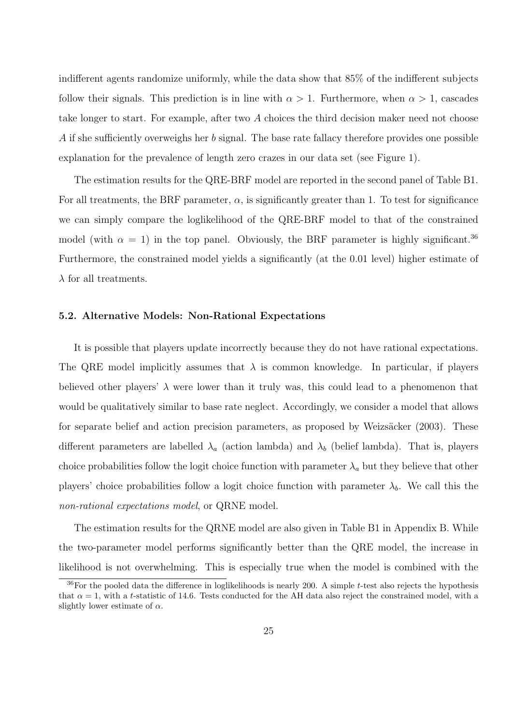indifferent agents randomize uniformly, while the data show that 85% of the indifferent subjects follow their signals. This prediction is in line with  $\alpha > 1$ . Furthermore, when  $\alpha > 1$ , cascades take longer to start. For example, after two A choices the third decision maker need not choose A if she sufficiently overweighs her b signal. The base rate fallacy therefore provides one possible explanation for the prevalence of length zero crazes in our data set (see Figure 1).

The estimation results for the QRE-BRF model are reported in the second panel of Table B1. For all treatments, the BRF parameter,  $\alpha$ , is significantly greater than 1. To test for significance we can simply compare the loglikelihood of the QRE-BRF model to that of the constrained model (with  $\alpha = 1$ ) in the top panel. Obviously, the BRF parameter is highly significant.<sup>36</sup> Furthermore, the constrained model yields a significantly (at the 0.01 level) higher estimate of  $\lambda$  for all treatments.

#### 5.2. Alternative Models: Non-Rational Expectations

It is possible that players update incorrectly because they do not have rational expectations. The QRE model implicitly assumes that  $\lambda$  is common knowledge. In particular, if players believed other players'  $\lambda$  were lower than it truly was, this could lead to a phenomenon that would be qualitatively similar to base rate neglect. Accordingly, we consider a model that allows for separate belief and action precision parameters, as proposed by Weizsäcker (2003). These different parameters are labelled  $\lambda_a$  (action lambda) and  $\lambda_b$  (belief lambda). That is, players choice probabilities follow the logit choice function with parameter  $\lambda_a$  but they believe that other players' choice probabilities follow a logit choice function with parameter  $\lambda_b$ . We call this the non-rational expectations model, or QRNE model.

The estimation results for the QRNE model are also given in Table B1 in Appendix B. While the two-parameter model performs significantly better than the QRE model, the increase in likelihood is not overwhelming. This is especially true when the model is combined with the

 $36$ For the pooled data the difference in loglikelihoods is nearly 200. A simple t-test also rejects the hypothesis that  $\alpha = 1$ , with a t-statistic of 14.6. Tests conducted for the AH data also reject the constrained model, with a slightly lower estimate of  $\alpha$ .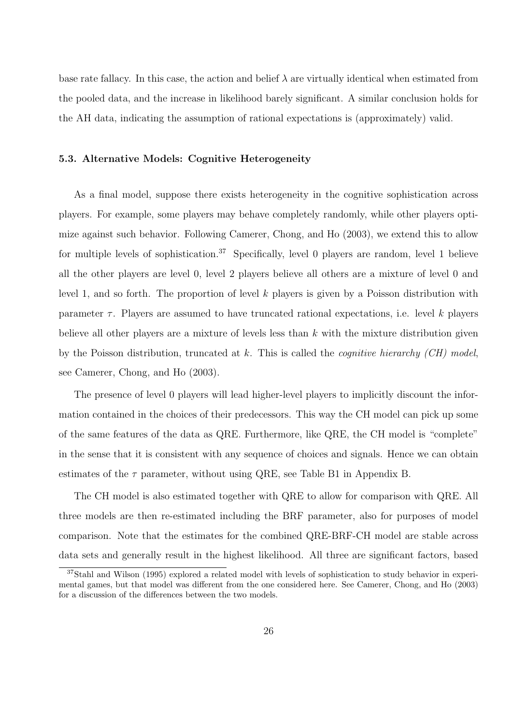base rate fallacy. In this case, the action and belief  $\lambda$  are virtually identical when estimated from the pooled data, and the increase in likelihood barely significant. A similar conclusion holds for the AH data, indicating the assumption of rational expectations is (approximately) valid.

#### 5.3. Alternative Models: Cognitive Heterogeneity

As a final model, suppose there exists heterogeneity in the cognitive sophistication across players. For example, some players may behave completely randomly, while other players optimize against such behavior. Following Camerer, Chong, and Ho (2003), we extend this to allow for multiple levels of sophistication.<sup>37</sup> Specifically, level 0 players are random, level 1 believe all the other players are level 0, level 2 players believe all others are a mixture of level 0 and level 1, and so forth. The proportion of level k players is given by a Poisson distribution with parameter  $\tau$ . Players are assumed to have truncated rational expectations, i.e. level k players believe all other players are a mixture of levels less than  $k$  with the mixture distribution given by the Poisson distribution, truncated at  $k$ . This is called the *cognitive hierarchy (CH) model*, see Camerer, Chong, and Ho (2003).

The presence of level 0 players will lead higher-level players to implicitly discount the information contained in the choices of their predecessors. This way the CH model can pick up some of the same features of the data as QRE. Furthermore, like QRE, the CH model is "complete" in the sense that it is consistent with any sequence of choices and signals. Hence we can obtain estimates of the  $\tau$  parameter, without using QRE, see Table B1 in Appendix B.

The CH model is also estimated together with QRE to allow for comparison with QRE. All three models are then re-estimated including the BRF parameter, also for purposes of model comparison. Note that the estimates for the combined QRE-BRF-CH model are stable across data sets and generally result in the highest likelihood. All three are significant factors, based

<sup>37</sup>Stahl and Wilson (1995) explored a related model with levels of sophistication to study behavior in experimental games, but that model was different from the one considered here. See Camerer, Chong, and Ho (2003) for a discussion of the differences between the two models.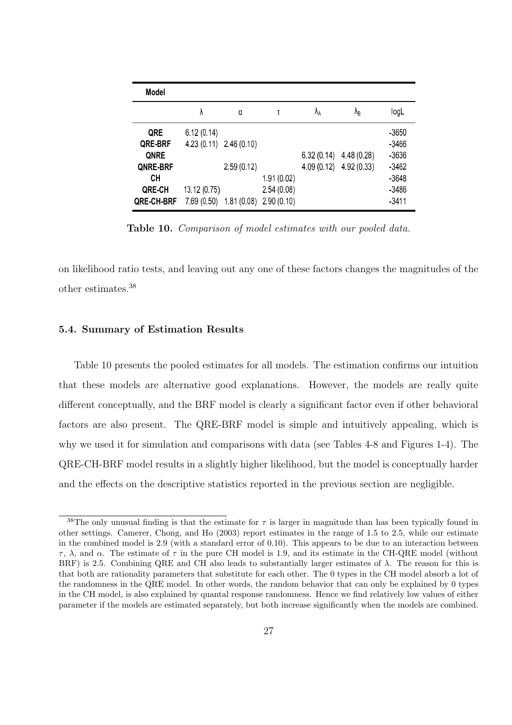| <b>Model</b>      |                         |            |            |                |                   |         |
|-------------------|-------------------------|------------|------------|----------------|-------------------|---------|
|                   | λ                       | a          | T          | Λ <sub>Α</sub> | $\Lambda_{\rm B}$ | logL    |
| QRE               | 6.12(0.14)              |            |            |                |                   | -3650   |
| QRE-BRF           | 4.23 (0.11) 2.46 (0.10) |            |            |                |                   | $-3466$ |
| <b>QNRE</b>       |                         |            |            | 6.32(0.14)     | 4.48(0.28)        | $-3636$ |
| QNRE-BRF          |                         | 2.59(0.12) |            | 4.09(0.12)     | 4.92(0.33)        | $-3462$ |
| СH                |                         |            | 1.91(0.02) |                |                   | $-3648$ |
| QRE-CH            | 13.12 (0.75)            |            | 2.54(0.08) |                |                   | -3486   |
| <b>QRE-CH-BRF</b> | 7.69(0.50)              | 1.81(0.08) | 2.90(0.10) |                |                   | $-3411$ |

Table 10. Comparison of model estimates with our pooled data.

on likelihood ratio tests, and leaving out any one of these factors changes the magnitudes of the other estimates.<sup>38</sup>

#### 5.4. Summary of Estimation Results

Table 10 presents the pooled estimates for all models. The estimation confirms our intuition that these models are alternative good explanations. However, the models are really quite different conceptually, and the BRF model is clearly a significant factor even if other behavioral factors are also present. The QRE-BRF model is simple and intuitively appealing, which is why we used it for simulation and comparisons with data (see Tables 4-8 and Figures 1-4). The QRE-CH-BRF model results in a slightly higher likelihood, but the model is conceptually harder and the effects on the descriptive statistics reported in the previous section are negligible.

<sup>&</sup>lt;sup>38</sup>The only unusual finding is that the estimate for  $\tau$  is larger in magnitude than has been typically found in other settings. Camerer, Chong, and Ho (2003) report estimates in the range of 1.5 to 2.5, while our estimate in the combined model is 2.9 (with a standard error of 0.10). This appears to be due to an interaction between τ , λ, and α. The estimate of τ in the pure CH model is 1.9, and its estimate in the CH-QRE model (without BRF) is 2.5. Combining QRE and CH also leads to substantially larger estimates of  $\lambda$ . The reason for this is that both are rationality parameters that substitute for each other. The 0 types in the CH model absorb a lot of the randomness in the QRE model. In other words, the random behavior that can only be explained by 0 types in the CH model, is also explained by quantal response randomness. Hence we find relatively low values of either parameter if the models are estimated separately, but both increase significantly when the models are combined.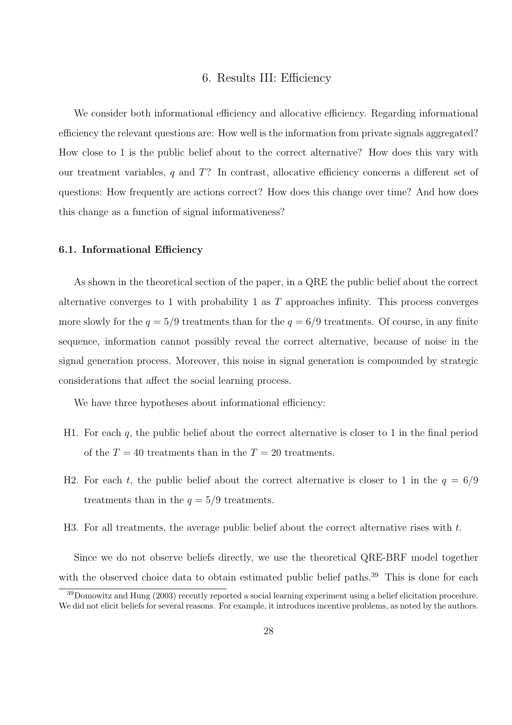#### 6. Results III: Efficiency

We consider both informational efficiency and allocative efficiency. Regarding informational efficiency the relevant questions are: How well is the information from private signals aggregated? How close to 1 is the public belief about to the correct alternative? How does this vary with our treatment variables,  $q$  and  $T$ ? In contrast, allocative efficiency concerns a different set of questions: How frequently are actions correct? How does this change over time? And how does this change as a function of signal informativeness?

#### 6.1. Informational Efficiency

As shown in the theoretical section of the paper, in a QRE the public belief about the correct alternative converges to 1 with probability 1 as T approaches infinity. This process converges more slowly for the  $q = 5/9$  treatments than for the  $q = 6/9$  treatments. Of course, in any finite sequence, information cannot possibly reveal the correct alternative, because of noise in the signal generation process. Moreover, this noise in signal generation is compounded by strategic considerations that affect the social learning process.

We have three hypotheses about informational efficiency:

- H1. For each q, the public belief about the correct alternative is closer to 1 in the final period of the  $T = 40$  treatments than in the  $T = 20$  treatments.
- H2. For each t, the public belief about the correct alternative is closer to 1 in the  $q = 6/9$ treatments than in the  $q = 5/9$  treatments.
- H3. For all treatments, the average public belief about the correct alternative rises with  $t$ .

Since we do not observe beliefs directly, we use the theoretical QRE-BRF model together with the observed choice data to obtain estimated public belief paths.<sup>39</sup> This is done for each

<sup>39</sup>Domowitz and Hung (2003) recently reported a social learning experiment using a belief elicitation procedure. We did not elicit beliefs for several reasons. For example, it introduces incentive problems, as noted by the authors.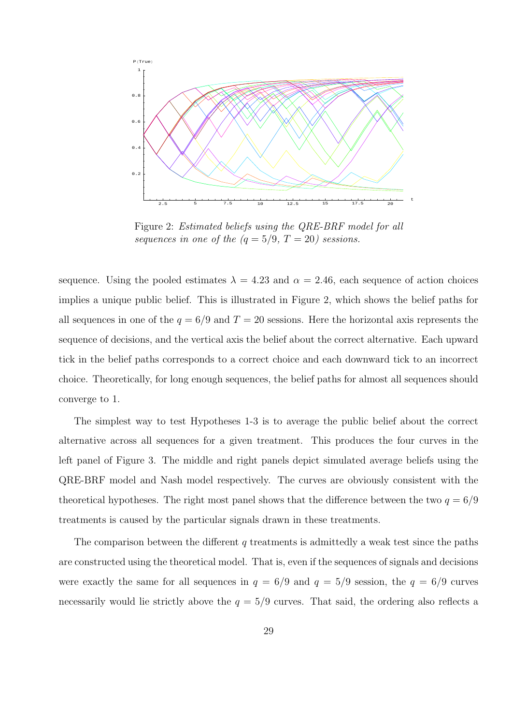

Figure 2: Estimated beliefs using the QRE-BRF model for all sequences in one of the  $(q = 5/9, T = 20)$  sessions.

sequence. Using the pooled estimates  $\lambda = 4.23$  and  $\alpha = 2.46$ , each sequence of action choices implies a unique public belief. This is illustrated in Figure 2, which shows the belief paths for all sequences in one of the  $q = 6/9$  and  $T = 20$  sessions. Here the horizontal axis represents the sequence of decisions, and the vertical axis the belief about the correct alternative. Each upward tick in the belief paths corresponds to a correct choice and each downward tick to an incorrect choice. Theoretically, for long enough sequences, the belief paths for almost all sequences should converge to 1.

The simplest way to test Hypotheses 1-3 is to average the public belief about the correct alternative across all sequences for a given treatment. This produces the four curves in the left panel of Figure 3. The middle and right panels depict simulated average beliefs using the QRE-BRF model and Nash model respectively. The curves are obviously consistent with the theoretical hypotheses. The right most panel shows that the difference between the two  $q = 6/9$ treatments is caused by the particular signals drawn in these treatments.

The comparison between the different  $q$  treatments is admittedly a weak test since the paths are constructed using the theoretical model. That is, even if the sequences of signals and decisions were exactly the same for all sequences in  $q = 6/9$  and  $q = 5/9$  session, the  $q = 6/9$  curves necessarily would lie strictly above the  $q = 5/9$  curves. That said, the ordering also reflects a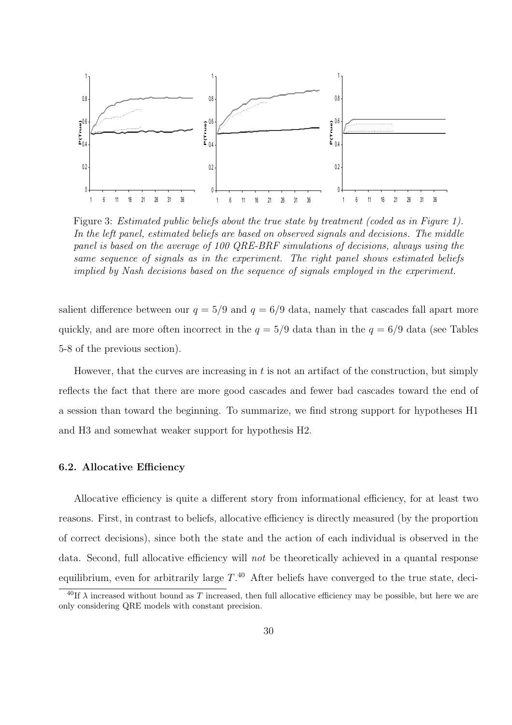

Figure 3: Estimated public beliefs about the true state by treatment (coded as in Figure 1). In the left panel, estimated beliefs are based on observed signals and decisions. The middle panel is based on the average of 100 QRE-BRF simulations of decisions, always using the same sequence of signals as in the experiment. The right panel shows estimated beliefs implied by Nash decisions based on the sequence of signals employed in the experiment.

salient difference between our  $q = 5/9$  and  $q = 6/9$  data, namely that cascades fall apart more quickly, and are more often incorrect in the  $q = 5/9$  data than in the  $q = 6/9$  data (see Tables 5-8 of the previous section).

However, that the curves are increasing in  $t$  is not an artifact of the construction, but simply reflects the fact that there are more good cascades and fewer bad cascades toward the end of a session than toward the beginning. To summarize, we find strong support for hypotheses H1 and H3 and somewhat weaker support for hypothesis H2.

### 6.2. Allocative Efficiency

Allocative efficiency is quite a different story from informational efficiency, for at least two reasons. First, in contrast to beliefs, allocative efficiency is directly measured (by the proportion of correct decisions), since both the state and the action of each individual is observed in the data. Second, full allocative efficiency will not be theoretically achieved in a quantal response equilibrium, even for arbitrarily large  $T^{40}$  After beliefs have converged to the true state, deci-

 $^{40}$ If  $\lambda$  increased without bound as T increased, then full allocative efficiency may be possible, but here we are only considering QRE models with constant precision.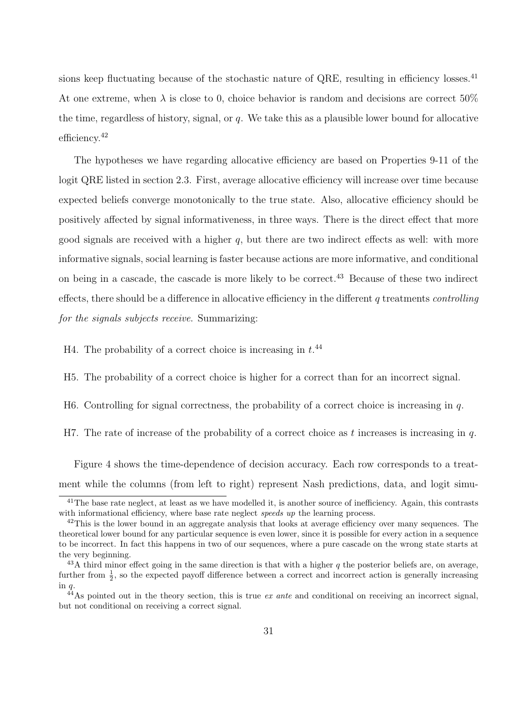sions keep fluctuating because of the stochastic nature of QRE, resulting in efficiency losses.<sup>41</sup> At one extreme, when  $\lambda$  is close to 0, choice behavior is random and decisions are correct 50% the time, regardless of history, signal, or  $q$ . We take this as a plausible lower bound for allocative efficiency.<sup>42</sup>

The hypotheses we have regarding allocative efficiency are based on Properties 9-11 of the logit QRE listed in section 2.3. First, average allocative efficiency will increase over time because expected beliefs converge monotonically to the true state. Also, allocative efficiency should be positively affected by signal informativeness, in three ways. There is the direct effect that more good signals are received with a higher  $q$ , but there are two indirect effects as well: with more informative signals, social learning is faster because actions are more informative, and conditional on being in a cascade, the cascade is more likely to be correct.<sup>43</sup> Because of these two indirect effects, there should be a difference in allocative efficiency in the different q treatments *controlling* for the signals subjects receive. Summarizing:

H4. The probability of a correct choice is increasing in  $t^{44}$ .

H5. The probability of a correct choice is higher for a correct than for an incorrect signal.

H6. Controlling for signal correctness, the probability of a correct choice is increasing in  $q$ .

H7. The rate of increase of the probability of a correct choice as t increases is increasing in  $q$ .

Figure 4 shows the time-dependence of decision accuracy. Each row corresponds to a treatment while the columns (from left to right) represent Nash predictions, data, and logit simu-

 $41$ The base rate neglect, at least as we have modelled it, is another source of inefficiency. Again, this contrasts with informational efficiency, where base rate neglect speeds up the learning process.

<sup>&</sup>lt;sup>42</sup>This is the lower bound in an aggregate analysis that looks at average efficiency over many sequences. The theoretical lower bound for any particular sequence is even lower, since it is possible for every action in a sequence to be incorrect. In fact this happens in two of our sequences, where a pure cascade on the wrong state starts at the very beginning.

 $^{43}$ A third minor effect going in the same direction is that with a higher q the posterior beliefs are, on average, further from  $\frac{1}{2}$ , so the expected payoff difference between a correct and incorrect action is generally increasing in q.

 $^{44}$ As pointed out in the theory section, this is true ex ante and conditional on receiving an incorrect signal, but not conditional on receiving a correct signal.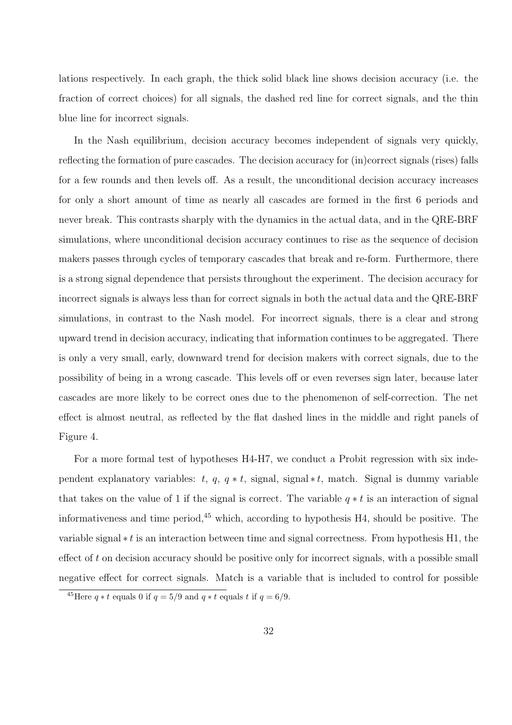lations respectively. In each graph, the thick solid black line shows decision accuracy (i.e. the fraction of correct choices) for all signals, the dashed red line for correct signals, and the thin blue line for incorrect signals.

In the Nash equilibrium, decision accuracy becomes independent of signals very quickly, reflecting the formation of pure cascades. The decision accuracy for (in)correct signals (rises) falls for a few rounds and then levels off. As a result, the unconditional decision accuracy increases for only a short amount of time as nearly all cascades are formed in the first 6 periods and never break. This contrasts sharply with the dynamics in the actual data, and in the QRE-BRF simulations, where unconditional decision accuracy continues to rise as the sequence of decision makers passes through cycles of temporary cascades that break and re-form. Furthermore, there is a strong signal dependence that persists throughout the experiment. The decision accuracy for incorrect signals is always less than for correct signals in both the actual data and the QRE-BRF simulations, in contrast to the Nash model. For incorrect signals, there is a clear and strong upward trend in decision accuracy, indicating that information continues to be aggregated. There is only a very small, early, downward trend for decision makers with correct signals, due to the possibility of being in a wrong cascade. This levels off or even reverses sign later, because later cascades are more likely to be correct ones due to the phenomenon of self-correction. The net effect is almost neutral, as reflected by the flat dashed lines in the middle and right panels of Figure 4.

For a more formal test of hypotheses H4-H7, we conduct a Probit regression with six independent explanatory variables:  $t, q, q * t$ , signal, signal  $*t$ , match. Signal is dummy variable that takes on the value of 1 if the signal is correct. The variable  $q * t$  is an interaction of signal informativeness and time period,<sup>45</sup> which, according to hypothesis H4, should be positive. The variable signal  $\ast t$  is an interaction between time and signal correctness. From hypothesis H1, the effect of t on decision accuracy should be positive only for incorrect signals, with a possible small negative effect for correct signals. Match is a variable that is included to control for possible

<sup>&</sup>lt;sup>45</sup>Here  $q * t$  equals 0 if  $q = 5/9$  and  $q * t$  equals t if  $q = 6/9$ .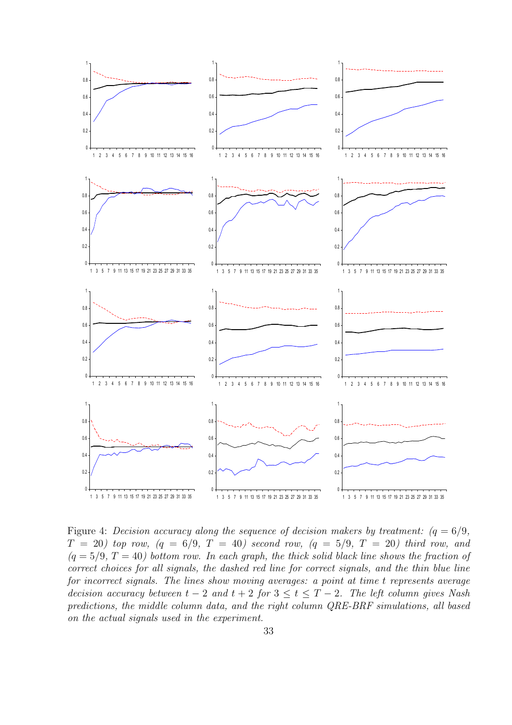

Figure 4: Decision accuracy along the sequence of decision makers by treatment:  $(q = 6/9,$  $T = 20$ ) top row,  $(q = 6/9, T = 40)$  second row,  $(q = 5/9, T = 20)$  third row, and  $(q = 5/9, T = 40)$  bottom row. In each graph, the thick solid black line shows the fraction of correct choices for all signals, the dashed red line for correct signals, and the thin blue line for incorrect signals. The lines show moving averages: a point at time t represents average decision accuracy between  $t - 2$  and  $t + 2$  for  $3 \le t \le T - 2$ . The left column gives Nash predictions, the middle column data, and the right column QRE-BRF simulations, all based on the actual signals used in the experiment.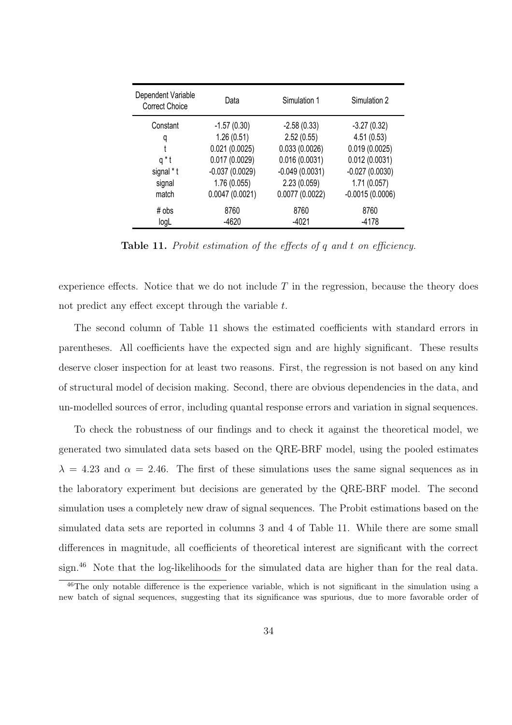| Dependent Variable<br><b>Correct Choice</b> | Data             | Simulation 1     | Simulation 2      |
|---------------------------------------------|------------------|------------------|-------------------|
| Constant                                    | $-1.57(0.30)$    | $-2.58(0.33)$    | $-3.27(0.32)$     |
| q                                           | 1.26(0.51)       | 2.52(0.55)       | 4.51(0.53)        |
| t                                           | 0.021(0.0025)    | 0.033(0.0026)    | 0.019(0.0025)     |
| q*t                                         | 0.017(0.0029)    | 0.016(0.0031)    | 0.012(0.0031)     |
| signal * t                                  | $-0.037(0.0029)$ | $-0.049(0.0031)$ | $-0.027(0.0030)$  |
| signal                                      | 1.76(0.055)      | 2.23(0.059)      | 1.71(0.057)       |
| match                                       | 0.0047(0.0021)   | 0.0077(0.0022)   | $-0.0015(0.0006)$ |
| $#$ obs                                     | 8760             | 8760             | 8760              |
| logL                                        | $-4620$          | $-4021$          | -4178             |

Table 11. Probit estimation of the effects of q and t on efficiency.

experience effects. Notice that we do not include  $T$  in the regression, because the theory does not predict any effect except through the variable t.

The second column of Table 11 shows the estimated coefficients with standard errors in parentheses. All coefficients have the expected sign and are highly significant. These results deserve closer inspection for at least two reasons. First, the regression is not based on any kind of structural model of decision making. Second, there are obvious dependencies in the data, and un-modelled sources of error, including quantal response errors and variation in signal sequences.

To check the robustness of our findings and to check it against the theoretical model, we generated two simulated data sets based on the QRE-BRF model, using the pooled estimates  $\lambda = 4.23$  and  $\alpha = 2.46$ . The first of these simulations uses the same signal sequences as in the laboratory experiment but decisions are generated by the QRE-BRF model. The second simulation uses a completely new draw of signal sequences. The Probit estimations based on the simulated data sets are reported in columns 3 and 4 of Table 11. While there are some small differences in magnitude, all coefficients of theoretical interest are significant with the correct sign.<sup>46</sup> Note that the log-likelihoods for the simulated data are higher than for the real data.

<sup>46</sup>The only notable difference is the experience variable, which is not significant in the simulation using a new batch of signal sequences, suggesting that its significance was spurious, due to more favorable order of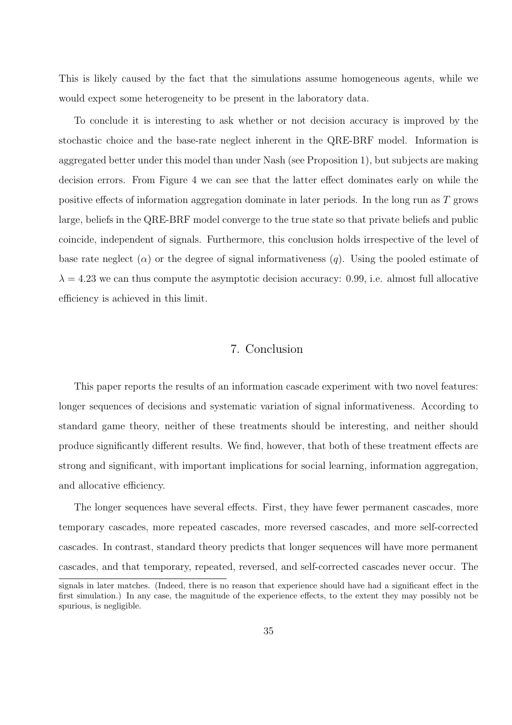This is likely caused by the fact that the simulations assume homogeneous agents, while we would expect some heterogeneity to be present in the laboratory data.

To conclude it is interesting to ask whether or not decision accuracy is improved by the stochastic choice and the base-rate neglect inherent in the QRE-BRF model. Information is aggregated better under this model than under Nash (see Proposition 1), but subjects are making decision errors. From Figure 4 we can see that the latter effect dominates early on while the positive effects of information aggregation dominate in later periods. In the long run as T grows large, beliefs in the QRE-BRF model converge to the true state so that private beliefs and public coincide, independent of signals. Furthermore, this conclusion holds irrespective of the level of base rate neglect ( $\alpha$ ) or the degree of signal informativeness (q). Using the pooled estimate of  $\lambda = 4.23$  we can thus compute the asymptotic decision accuracy: 0.99, i.e. almost full allocative efficiency is achieved in this limit.

# 7. Conclusion

This paper reports the results of an information cascade experiment with two novel features: longer sequences of decisions and systematic variation of signal informativeness. According to standard game theory, neither of these treatments should be interesting, and neither should produce significantly different results. We find, however, that both of these treatment effects are strong and significant, with important implications for social learning, information aggregation, and allocative efficiency.

The longer sequences have several effects. First, they have fewer permanent cascades, more temporary cascades, more repeated cascades, more reversed cascades, and more self-corrected cascades. In contrast, standard theory predicts that longer sequences will have more permanent cascades, and that temporary, repeated, reversed, and self-corrected cascades never occur. The

signals in later matches. (Indeed, there is no reason that experience should have had a significant effect in the first simulation.) In any case, the magnitude of the experience effects, to the extent they may possibly not be spurious, is negligible.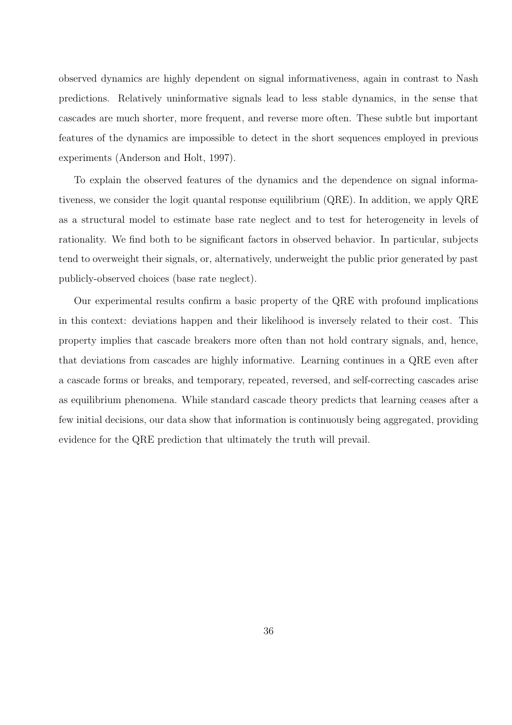observed dynamics are highly dependent on signal informativeness, again in contrast to Nash predictions. Relatively uninformative signals lead to less stable dynamics, in the sense that cascades are much shorter, more frequent, and reverse more often. These subtle but important features of the dynamics are impossible to detect in the short sequences employed in previous experiments (Anderson and Holt, 1997).

To explain the observed features of the dynamics and the dependence on signal informativeness, we consider the logit quantal response equilibrium (QRE). In addition, we apply QRE as a structural model to estimate base rate neglect and to test for heterogeneity in levels of rationality. We find both to be significant factors in observed behavior. In particular, subjects tend to overweight their signals, or, alternatively, underweight the public prior generated by past publicly-observed choices (base rate neglect).

Our experimental results confirm a basic property of the QRE with profound implications in this context: deviations happen and their likelihood is inversely related to their cost. This property implies that cascade breakers more often than not hold contrary signals, and, hence, that deviations from cascades are highly informative. Learning continues in a QRE even after a cascade forms or breaks, and temporary, repeated, reversed, and self-correcting cascades arise as equilibrium phenomena. While standard cascade theory predicts that learning ceases after a few initial decisions, our data show that information is continuously being aggregated, providing evidence for the QRE prediction that ultimately the truth will prevail.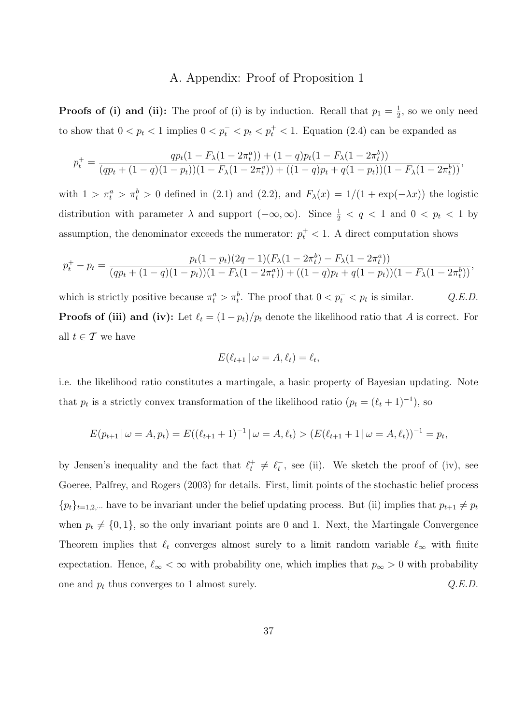# A. Appendix: Proof of Proposition 1

**Proofs of (i) and (ii):** The proof of (i) is by induction. Recall that  $p_1 = \frac{1}{2}$  $\frac{1}{2}$ , so we only need to show that  $0 < p_t < 1$  implies  $0 < p_t^- < p_t < p_t^+ < 1$ . Equation (2.4) can be expanded as

$$
p_t^+ = \frac{qp_t(1 - F_\lambda(1 - 2\pi_t^a)) + (1 - q)p_t(1 - F_\lambda(1 - 2\pi_t^b))}{(qp_t + (1 - q)(1 - p_t))(1 - F_\lambda(1 - 2\pi_t^a)) + ((1 - q)p_t + q(1 - p_t))(1 - F_\lambda(1 - 2\pi_t^b))},
$$

with  $1 > \pi_t^a > \pi_t^b > 0$  defined in (2.1) and (2.2), and  $F_{\lambda}(x) = 1/(1 + \exp(-\lambda x))$  the logistic distribution with parameter  $\lambda$  and support  $(-\infty, \infty)$ . Since  $\frac{1}{2} < q < 1$  and  $0 < p_t < 1$  by assumption, the denominator exceeds the numerator:  $p_t^+ < 1$ . A direct computation shows

$$
p_t^+ - p_t = \frac{p_t(1-p_t)(2q-1)(F_\lambda(1-2\pi_t^b) - F_\lambda(1-2\pi_t^a))}{(qp_t + (1-q)(1-p_t))(1 - F_\lambda(1-2\pi_t^a)) + ((1-q)p_t + q(1-p_t))(1 - F_\lambda(1-2\pi_t^b))},
$$

which is strictly positive because  $\pi_t^a > \pi_t^b$ . The proof that  $0 < p_t^- < p_t$  is similar.  $Q.E.D.$ **Proofs of (iii) and (iv):** Let  $\ell_t = (1 - p_t)/p_t$  denote the likelihood ratio that A is correct. For all  $t \in \mathcal{T}$  we have

$$
E(\ell_{t+1} | \omega = A, \ell_t) = \ell_t,
$$

i.e. the likelihood ratio constitutes a martingale, a basic property of Bayesian updating. Note that  $p_t$  is a strictly convex transformation of the likelihood ratio  $(p_t = (\ell_t + 1)^{-1})$ , so

$$
E(p_{t+1} | \omega = A, p_t) = E((\ell_{t+1} + 1)^{-1} | \omega = A, \ell_t) > (E(\ell_{t+1} + 1 | \omega = A, \ell_t))^{-1} = p_t,
$$

by Jensen's inequality and the fact that  $\ell_t^+ \neq \ell_t^-$ , see (ii). We sketch the proof of (iv), see Goeree, Palfrey, and Rogers (2003) for details. First, limit points of the stochastic belief process  ${p_t}_{t=1,2,\dots}$  have to be invariant under the belief updating process. But (ii) implies that  $p_{t+1} \neq p_t$ when  $p_t \neq \{0, 1\}$ , so the only invariant points are 0 and 1. Next, the Martingale Convergence Theorem implies that  $\ell_t$  converges almost surely to a limit random variable  $\ell_{\infty}$  with finite expectation. Hence,  $\ell_{\infty} < \infty$  with probability one, which implies that  $p_{\infty} > 0$  with probability one and  $p_t$  thus converges to 1 almost surely.  $Q.E.D.$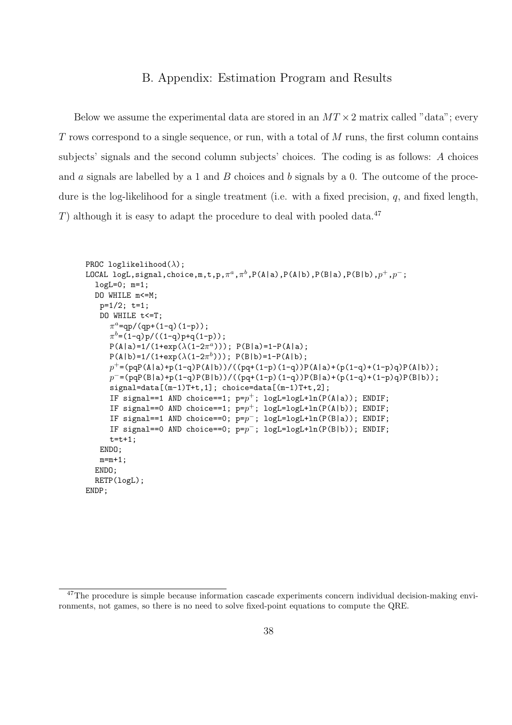# B. Appendix: Estimation Program and Results

Below we assume the experimental data are stored in an  $MT \times 2$  matrix called "data"; every T rows correspond to a single sequence, or run, with a total of  $M$  runs, the first column contains subjects' signals and the second column subjects' choices. The coding is as follows: A choices and a signals are labelled by a 1 and  $B$  choices and  $b$  signals by a 0. The outcome of the procedure is the log-likelihood for a single treatment (i.e. with a fixed precision,  $q$ , and fixed length, T) although it is easy to adapt the procedure to deal with pooled data.<sup>47</sup>

```
PROC loglikelihood(\lambda);
LOCAL logL,signal,choice,m,t,p,\pi^a,\pi^b,P(A|a),P(A|b),P(B|a),P(B|b),p^+, p^-;logL=0; m=1;
  DO WHILE m<=M;
   p=1/2; t=1;
   DO WHILE t<=T;
      \pi^a =qp/(qp+(1-q)(1-p));
      \pi^{b} = (1-q)p/((1-q)p+q(1-p));P(A|a)=1/(1+exp(\lambda(1-2\pi^a))); P(B|a)=1-P(A|a);
      P(A|b)=1/(1+exp(\lambda(1-2\pi^{b}))); P(B|b)=1-P(A|b);
      p^+ = (pqP(A|a)+p(1-q)P(A|b))/((pq+(1-p)(1-q))P(A|a)+(p(1-q)+(1-p)q)P(A|b));p^- = (pqP(B|a)+p(1-q)P(B|b))/((pq+(1-p)(1-q))P(B|a)+(p(1-q)+(1-p)q)P(B|b));signal=data[(m-1)T+t,1]; choice=data[(m-1)T+t,2];IF signal==1 AND choice==1; p=p^+; logL=logL+ln(P(A|a)); ENDIF;
      IF signal == 0 AND choice == 1; p = p^+; logL=logL+ln(P(A|b)); ENDIF;
      IF signal == 1 AND choice == 0; p = p^{-}; logL=logL+ln(P(B|a)); ENDIF;
      IF signal == 0 AND choice == 0; p = p^{-}; logL=logL+ln(P(B|b)); ENDIF;
     t=t+1;
   ENDO;
   m=m+1;
  ENDO;
  RETP(logL);
ENDP;
```
<sup>&</sup>lt;sup>47</sup>The procedure is simple because information cascade experiments concern individual decision-making environments, not games, so there is no need to solve fixed-point equations to compute the QRE.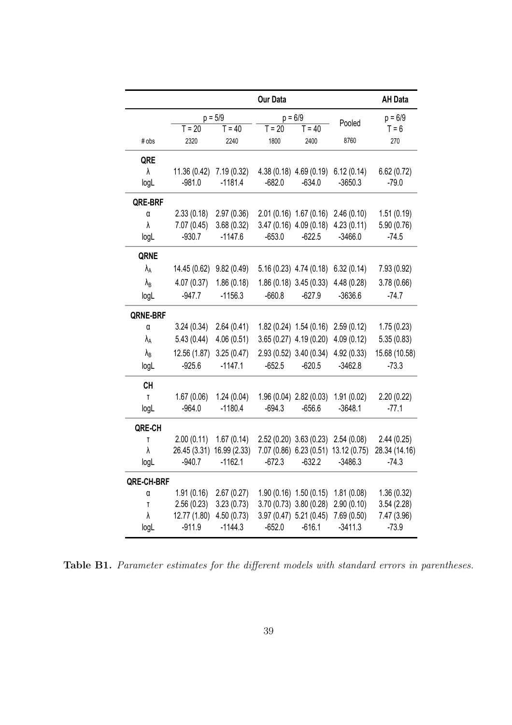|                        |                          |                           | Our Data |                            |                                          | <b>AH Data</b> |
|------------------------|--------------------------|---------------------------|----------|----------------------------|------------------------------------------|----------------|
|                        |                          | $p = 5/9$                 |          | $p = 6/9$                  | Pooled                                   | $p = 6/9$      |
|                        | $T = 20$                 | $T = 40$                  | $T = 20$ | $T = 40$                   |                                          | $T = 6$        |
| # obs                  | 2320                     | 2240                      | 1800     | 2400                       | 8760                                     | 270            |
| QRE                    |                          |                           |          |                            |                                          |                |
| $\lambda$              | 11.36 (0.42) 7.19 (0.32) |                           |          |                            | 4.38 (0.18) $4.69(0.19)$ 6.12 (0.14)     | 6.62(0.72)     |
| logL                   | $-981.0$                 | $-1181.4$                 | $-682.0$ | $-634.0$                   | $-3650.3$                                | $-79.0$        |
| QRE-BRF                |                          |                           |          |                            |                                          |                |
| α                      | 2.33(0.18)               | 2.97(0.36)                |          |                            | $2.01(0.16)$ 1.67 (0.16) 2.46 (0.10)     | 1.51(0.19)     |
| λ                      | 7.07(0.45)               | 3.68(0.32)                |          | $3.47(0.16)$ 4.09 (0.18)   | 4.23(0.11)                               | 5.90(0.76)     |
| logL                   | $-930.7$                 | $-1147.6$                 | $-653.0$ | $-622.5$                   | $-3466.0$                                | $-74.5$        |
| QRNE                   |                          |                           |          |                            |                                          |                |
| $\lambda_{A}$          | 14.45 (0.62)             | 9.82(0.49)                |          |                            | $5.16(0.23)$ 4.74 $(0.18)$ 6.32 $(0.14)$ | 7.93 (0.92)    |
| $\lambda_{\rm B}$      | 4.07(0.37)               | 1.86(0.18)                |          | $1.86(0.18)$ 3.45 $(0.33)$ | 4.48(0.28)                               | 3.78(0.66)     |
| logL                   | $-947.7$                 | $-1156.3$                 | $-660.8$ | $-627.9$                   | $-3636.6$                                | $-74.7$        |
| QRNE-BRF               |                          |                           |          |                            |                                          |                |
| α                      | 3.24(0.34)               | 2.64(0.41)                |          |                            | $1.82(0.24)$ 1.54 $(0.16)$ 2.59 $(0.12)$ | 1.75(0.23)     |
| $\lambda_{\mathsf{A}}$ | 5.43(0.44)               | 4.06(0.51)                |          | $3.65(0.27)$ 4.19 $(0.20)$ | 4.09(0.12)                               | 5.35(0.83)     |
| $\lambda_{\rm B}$      | 12.56 (1.87)             | 3.25(0.47)                |          |                            | $2.93(0.52)$ 3.40 $(0.34)$ 4.92 $(0.33)$ | 15.68 (10.58)  |
| logL                   | $-925.6$                 | $-1147.1$                 | $-652.5$ | $-620.5$                   | $-3462.8$                                | $-73.3$        |
| <b>CH</b>              |                          |                           |          |                            |                                          |                |
| T                      | 1.67(0.06)               | 1.24(0.04)                |          | 1.96 (0.04) 2.82 (0.03)    | 1.91(0.02)                               | 2.20(0.22)     |
| logL                   | $-964.0$                 | $-1180.4$                 | $-694.3$ | $-656.6$                   | $-3648.1$                                | $-77.1$        |
| QRE-CH                 |                          |                           |          |                            |                                          |                |
| T                      | 2.00(0.11)               | 1.67(0.14)                |          |                            | $2.52(0.20)$ $3.63(0.23)$ $2.54(0.08)$   | 2.44(0.25)     |
| λ                      |                          | 26.45 (3.31) 16.99 (2.33) |          |                            | 7.07 (0.86) 6.23 (0.51) 13.12 (0.75)     | 28.34 (14.16)  |
| logL                   | $-940.7$                 | $-1162.1$                 | $-672.3$ | $-632.2$                   | $-3486.3$                                | $-74.3$        |
| <b>QRE-CH-BRF</b>      |                          |                           |          |                            |                                          |                |
| α                      | 1.91(0.16)               | 2.67(0.27)                |          | 1.90(0.16) 1.50(0.15)      | 1.81(0.08)                               | 1.36(0.32)     |
| T                      | 2.56(0.23)               | 3.23(0.73)                |          | 3.70 (0.73) 3.80 (0.28)    | 2.90(0.10)                               | 3.54(2.28)     |
| λ                      | 12.77 (1.80)             | 4.50(0.73)                |          | 3.97 (0.47) 5.21 (0.45)    | 7.69 (0.50)                              | 7.47 (3.96)    |
| logL                   | $-911.9$                 | $-1144.3$                 | $-652.0$ | $-616.1$                   | $-3411.3$                                | $-73.9$        |

Table B1. Parameter estimates for the different models with standard errors in parentheses.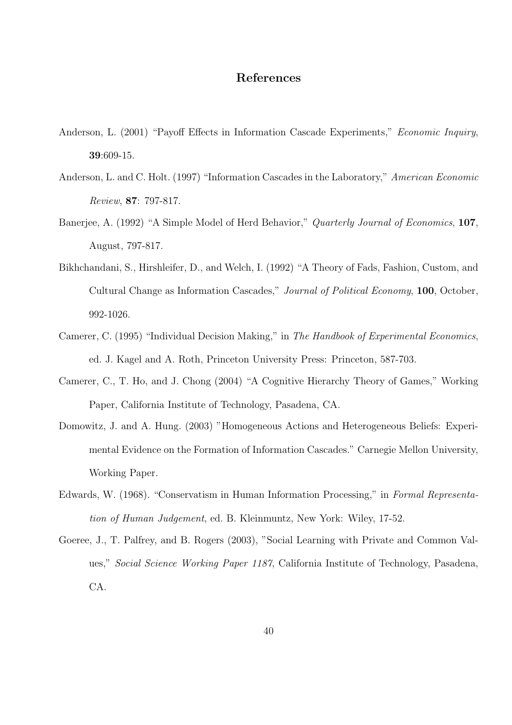# References

- Anderson, L. (2001) "Payoff Effects in Information Cascade Experiments," Economic Inquiry, 39:609-15.
- Anderson, L. and C. Holt. (1997) "Information Cascades in the Laboratory," American Economic Review, 87: 797-817.
- Banerjee, A. (1992) "A Simple Model of Herd Behavior," *Quarterly Journal of Economics*, 107, August, 797-817.
- Bikhchandani, S., Hirshleifer, D., and Welch, I. (1992) "A Theory of Fads, Fashion, Custom, and Cultural Change as Information Cascades," Journal of Political Economy, 100, October, 992-1026.
- Camerer, C. (1995) "Individual Decision Making," in The Handbook of Experimental Economics, ed. J. Kagel and A. Roth, Princeton University Press: Princeton, 587-703.
- Camerer, C., T. Ho, and J. Chong (2004) "A Cognitive Hierarchy Theory of Games," Working Paper, California Institute of Technology, Pasadena, CA.
- Domowitz, J. and A. Hung. (2003) "Homogeneous Actions and Heterogeneous Beliefs: Experimental Evidence on the Formation of Information Cascades." Carnegie Mellon University, Working Paper.
- Edwards, W. (1968). "Conservatism in Human Information Processing," in Formal Representation of Human Judgement, ed. B. Kleinmuntz, New York: Wiley, 17-52.
- Goeree, J., T. Palfrey, and B. Rogers (2003), "Social Learning with Private and Common Values," Social Science Working Paper 1187, California Institute of Technology, Pasadena, CA.